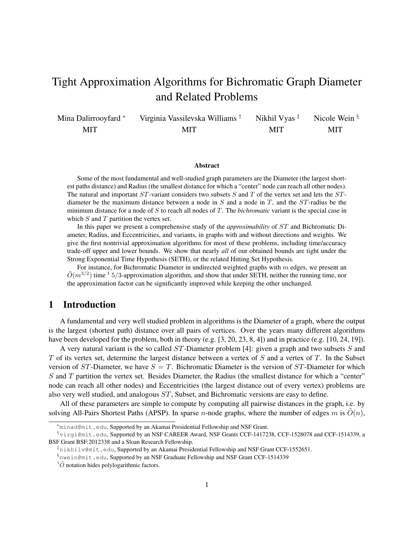# Tight Approximation Algorithms for Bichromatic Graph Diameter and Related Problems

Mina Dalirrooyfard <sup>∗</sup> MIT Virginia Vassilevska Williams † MIT Nikhil Vyas ‡ MIT Nicole Wein § MIT

#### Abstract

Some of the most fundamental and well-studied graph parameters are the Diameter (the largest shortest paths distance) and Radius (the smallest distance for which a "center" node can reach all other nodes). The natural and important  $ST$ -variant considers two subsets S and T of the vertex set and lets the  $ST$ diameter be the maximum distance between a node in  $S$  and a node in  $T$ , and the  $ST$ -radius be the minimum distance for a node of S to reach all nodes of T. The *bichromatic* variant is the special case in which  $S$  and  $T$  partition the vertex set.

In this paper we present a comprehensive study of the *approximability* of ST and Bichromatic Diameter, Radius, and Eccentricities, and variants, in graphs with and without directions and weights. We give the first nontrivial approximation algorithms for most of these problems, including time/accuracy trade-off upper and lower bounds. We show that nearly *all* of our obtained bounds are tight under the Strong Exponential Time Hypothesis (SETH), or the related Hitting Set Hypothesis.

For instance, for Bichromatic Diameter in undirected weighted graphs with  $m$  edges, we present an  $\tilde{O}(m^{3/2})$  time <sup>1</sup> 5/3-approximation algorithm, and show that under SETH, neither the running time, nor the approximation factor can be significantly improved while keeping the other unchanged.

# 1 Introduction

A fundamental and very well studied problem in algorithms is the Diameter of a graph, where the output is the largest (shortest path) distance over all pairs of vertices. Over the years many different algorithms have been developed for the problem, both in theory (e.g. [3, 20, 23, 8, 4]) and in practice (e.g. [10, 24, 19]).

A very natural variant is the so called ST-Diameter problem [4]: given a graph and two subsets S and  $T$  of its vertex set, determine the largest distance between a vertex of  $S$  and a vertex of  $T$ . In the Subset version of  $ST$ -Diameter, we have  $S = T$ . Bichromatic Diameter is the version of  $ST$ -Diameter for which S and T partition the vertex set. Besides Diameter, the Radius (the smallest distance for which a "center" node can reach all other nodes) and Eccentricities (the largest distance out of every vertex) problems are also very well studied, and analogous ST, Subset, and Bichromatic versions are easy to define.

All of these parameters are simple to compute by computing all pairwise distances in the graph, i.e. by solving All-Pairs Shortest Paths (APSP). In sparse *n*-node graphs, where the number of edges m is  $O(n)$ ,

<sup>∗</sup>minad@mit.edu, Supported by an Akamai Presidential Fellowship and NSF Grant.

<sup>†</sup>virgi@mit.edu, Supported by an NSF CAREER Award, NSF Grants CCF-1417238, CCF-1528078 and CCF-1514339, a BSF Grant BSF:2012338 and a Sloan Research Fellowship.

<sup>‡</sup>nikhilv@mit.edu, Supported by an Akamai Presidential Fellowship and NSF Grant CCF-1552651.

<sup>§</sup>nwein@mit.edu, Supported by an NSF Graduate Fellowship and NSF Grant CCF-1514339

 ${}^{1}\tilde{O}$  notation hides polylogarithmic factors.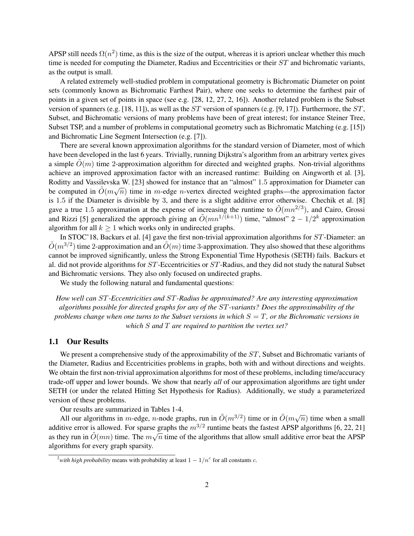APSP still needs  $\Omega(n^2)$  time, as this is the size of the output, whereas it is apriori unclear whether this much time is needed for computing the Diameter, Radius and Eccentricities or their ST and bichromatic variants, as the output is small.

A related extremely well-studied problem in computational geometry is Bichromatic Diameter on point sets (commonly known as Bichromatic Farthest Pair), where one seeks to determine the farthest pair of points in a given set of points in space (see e.g. [28, 12, 27, 2, 16]). Another related problem is the Subset version of spanners (e.g. [18, 11]), as well as the  $ST$  version of spanners (e.g. [9, 17]). Furthermore, the  $ST$ , Subset, and Bichromatic versions of many problems have been of great interest; for instance Steiner Tree, Subset TSP, and a number of problems in computational geometry such as Bichromatic Matching (e.g. [15]) and Bichromatic Line Segment Intersection (e.g. [7]).

There are several known approximation algorithms for the standard version of Diameter, most of which have been developed in the last 6 years. Trivially, running Dijkstra's algorithm from an arbitrary vertex gives a simple  $O(m)$  time 2-approximation algorithm for directed and weighted graphs. Non-trivial algorithms achieve an improved approximation factor with an increased runtime: Building on Aingworth et al. [3], Roditty and Vassilevska W. [23] showed for instance that an "almost" 1.5 approximation for Diameter can be computed in  $\tilde{O}(m\sqrt{n})$  time in m-edge n-vertex directed weighted graphs—the approximation factor is 1.5 if the Diameter is divisible by 3, and there is a slight additive error otherwise. Chechik et al. [8] gave a true 1.5 approximation at the expense of increasing the runtime to  $\tilde{O}(mn^{2/3})$ , and Cairo, Grossi and Rizzi [5] generalized the approach giving an  $\tilde{O}(mn^{1/(k+1)})$  time, "almost"  $2 - 1/2^k$  approximation algorithm for all  $k \geq 1$  which works only in undirected graphs.

In STOC'18, Backurs et al. [4] gave the first non-trivial approximation algorithms for ST-Diameter: an  $\tilde{O}(m^{3/2})$  time 2-approximation and an  $\tilde{O}(m)$  time 3-approximation. They also showed that these algorithms cannot be improved significantly, unless the Strong Exponential Time Hypothesis (SETH) fails. Backurs et al. did not provide algorithms for ST-Eccentricities or ST-Radius, and they did not study the natural Subset and Bichromatic versions. They also only focused on undirected graphs.

We study the following natural and fundamental questions:

*How well can* ST*-Eccentricities and* ST*-Radius be approximated? Are any interesting approximation algorithms possible for directed graphs for any of the* ST*-variants? Does the approximability of the problems change when one turns to the Subset versions in which* S = T*, or the Bichromatic versions in which* S *and* T *are required to partition the vertex set?*

#### 1.1 Our Results

We present a comprehensive study of the approximability of the ST, Subset and Bichromatic variants of the Diameter, Radius and Eccentricities problems in graphs, both with and without directions and weights. We obtain the first non-trivial approximation algorithms for most of these problems, including time/accuracy trade-off upper and lower bounds. We show that nearly *all* of our approximation algorithms are tight under SETH (or under the related Hitting Set Hypothesis for Radius). Additionally, we study a parameterized version of these problems.

Our results are summarized in Tables 1-4.

All our algorithms in *m*-edge, *n*-node graphs, run in  $\tilde{O}(m^{3/2})$  time or in  $\tilde{O}(m\sqrt{n})$  time when a small additive error is allowed. For sparse graphs the  $m^{3/2}$  runtime beats the fastest APSP algorithms [6, 22, 21] additive error is anowed. For sparse graphs the *m*  $\ell$  funtiline beats the rastest AFSF algorithms [0, 22, 21] as they run in  $\tilde{O}(mn)$  time. The  $m\sqrt{n}$  time of the algorithms that allow small additive error beat the algorithms for every graph sparsity.

<sup>&</sup>lt;sup>2</sup>with high probability means with probability at least  $1 - 1/n<sup>c</sup>$  for all constants c.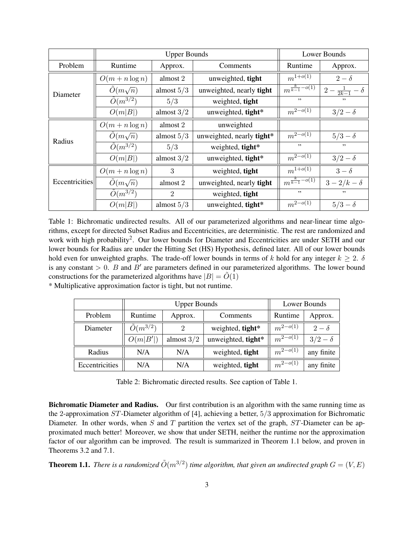|                |                        | Lower Bounds   |                           |                                                     |                               |
|----------------|------------------------|----------------|---------------------------|-----------------------------------------------------|-------------------------------|
| Problem        | Runtime                | Approx.        | Comments                  | Runtime                                             | Approx.                       |
|                | $O(m + n \log n)$      | almost 2       | unweighted, tight         | $m^{1+o(1)}$<br>$\overline{m^{\frac{k}{k-1}-o(1)}}$ | $2-\delta$                    |
| Diameter       | $\tilde{O}(m\sqrt{n})$ | almost $5/3$   | unweighted, nearly tight  |                                                     | $2 - \frac{1}{2k-1} - \delta$ |
|                | $\tilde{O}(m^{3/2})$   | 5/3            | weighted, tight           | , ,                                                 | ,,                            |
|                | O(m B )                | almost $3/2$   | unweighted, tight*        | $m^{2-o(1)}$                                        | $3/2-\delta$                  |
| Radius         | $O(m + n \log n)$      | almost 2       | unweighted                |                                                     |                               |
|                | $\tilde{O}(m\sqrt{n})$ | almost $5/3$   | unweighted, nearly tight* | $m^{2-o(1)}$                                        | $5/3-\delta$                  |
|                | $\tilde{O}(m^{3/2})$   | 5/3            | weighted, tight*          | , ,                                                 | ,,                            |
|                | O(m B )                | almost $3/2$   | unweighted, tight*        | $m^{2-o(1)}$                                        | $3/2-\delta$                  |
| Eccentricities | $O(m + n \log n)$      | 3              | weighted, tight           | $m^{1+o(1)}$                                        | $3-\delta$                    |
|                | $\tilde{O}(m\sqrt{n})$ | almost 2       | unweighted, nearly tight  | $m^{\frac{k}{k-1}-o(1)}$                            | $3-2/k-\delta$                |
|                | $\tilde{O}(m^{3/2})$   | $\overline{2}$ | weighted, tight           | , ,                                                 | , ,                           |
|                | O(m B )                | almost $5/3$   | unweighted, tight*        | $m^{2-o(1)}$                                        | $5/3-\delta$                  |

Table 1: Bichromatic undirected results. All of our parameterized algorithms and near-linear time algorithms, except for directed Subset Radius and Eccentricities, are deterministic. The rest are randomized and work with high probability<sup>2</sup>. Our lower bounds for Diameter and Eccentricities are under SETH and our lower bounds for Radius are under the Hitting Set (HS) Hypothesis, defined later. All of our lower bounds hold even for unweighted graphs. The trade-off lower bounds in terms of k hold for any integer  $k \ge 2$ .  $\delta$ is any constant  $> 0$ . B and B' are parameters defined in our parameterized algorithms. The lower bound constructions for the parameterized algorithms have  $|B| = \tilde{O}(1)$ 

\* Multiplicative approximation factor is tight, but not runtime.

|                |                      | <b>Upper Bounds</b> | Lower Bounds       |              |              |
|----------------|----------------------|---------------------|--------------------|--------------|--------------|
| Problem        | Runtime              | Approx.             | Comments           | Runtime      | Approx.      |
| Diameter       | $\tilde{O}(m^{3/2})$ | 2                   | weighted, tight*   | $m^{2-o(1)}$ | $2-\delta$   |
|                | O(m B' )             | almost $3/2$        | unweighted, tight* | $m^{2-o(1)}$ | $3/2-\delta$ |
| Radius         | N/A                  | N/A                 | weighted, tight    | $m^{2-o(1)}$ | any finite   |
| Eccentricities | N/A                  | N/A                 | weighted, tight    | $m^{2-o(1)}$ | any finite   |

Table 2: Bichromatic directed results. See caption of Table 1.

Bichromatic Diameter and Radius. Our first contribution is an algorithm with the same running time as the 2-approximation  $ST$ -Diameter algorithm of [4], achieving a better,  $5/3$  approximation for Bichromatic Diameter. In other words, when S and T partition the vertex set of the graph,  $ST$ -Diameter can be approximated much better! Moreover, we show that under SETH, neither the runtime nor the approximation factor of our algorithm can be improved. The result is summarized in Theorem 1.1 below, and proven in Theorems 3.2 and 7.1.

**Theorem 1.1.** There is a randomized  $\tilde{O}(m^{3/2})$  time algorithm, that given an undirected graph  $G = (V, E)$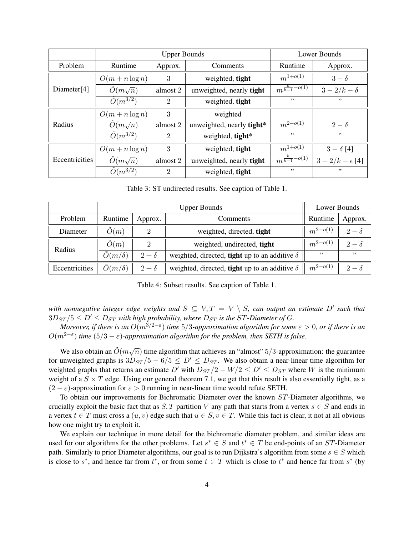|                | <b>Upper Bounds</b>    |          |                           | Lower Bounds                        |                          |  |
|----------------|------------------------|----------|---------------------------|-------------------------------------|--------------------------|--|
| <b>Problem</b> | Runtime                | Approx.  | Comments                  | Runtime                             | Approx.                  |  |
| Diameter[4]    | $O(m + n \log n)$      | 3        | weighted, tight           | $m^{1+o(1)}$                        | $3-\delta$               |  |
|                | $O(m\sqrt{n})$         | almost 2 | unweighted, nearly tight  | $\overline{m^{\frac{k}{k-1}-o(1)}}$ | $3-2/k-\delta$           |  |
|                | $\tilde{O}(m^{3/2})$   | 2        | weighted, tight           | , ,                                 | , ,                      |  |
| Radius         | $O(m + n \log n)$      | 3        | weighted                  |                                     |                          |  |
|                | $O(m\sqrt{n})$         | almost 2 | unweighted, nearly tight* | $m^{2-o(1)}$                        | $2-\delta$               |  |
|                | $\tilde{O}(m^{3/2})$   | 2        | weighted, tight*          | , ,                                 | , ,                      |  |
| Eccentricities | $O(m + n \log n)$      | 3        | weighted, tight           | $m^{1+o(1)}$                        | $3 - \delta$ [4]         |  |
|                | $\tilde{O}(m\sqrt{n})$ | almost 2 | unweighted, nearly tight  | $m^{\frac{k}{k-1}-o(1)}$            | $3 - 2/k - \epsilon$ [4] |  |
|                | $\tilde{O}(m^{3/2})$   | 2        | weighted, tight           | , ,                                 | , ,                      |  |

Table 3: ST undirected results. See caption of Table 1.

|                | <b>Upper Bounds</b>              |            |                                                             | Lower Bounds |            |
|----------------|----------------------------------|------------|-------------------------------------------------------------|--------------|------------|
| Problem        | Runtime                          | Approx.    | Comments                                                    | Runtime      | Approx.    |
| Diameter       | O(m)                             | 2          | weighted, directed, tight                                   | $m^{2-o(1)}$ | $2-\delta$ |
| Radius         | O(m)                             |            | weighted, undirected, tight                                 | $m^{2-o(1)}$ | $2-\delta$ |
|                | $\overline{\tilde{O}}(m/\delta)$ | $2+\delta$ | weighted, directed, <b>tight</b> up to an additive $\delta$ | , ,          | , ,        |
| Eccentricities | $O(m/\delta)$                    | $2+\delta$ | weighted, directed, <b>tight</b> up to an additive $\delta$ | $m^{2-o(1)}$ | $2-\delta$ |

Table 4: Subset results. See caption of Table 1.

with nonnegative integer edge weights and  $S \subseteq V, T = V \setminus S$ , can output an estimate  $D'$  such that  $3D_{ST}/5 \le D' \le D_{ST}$  with high probability, where  $D_{ST}$  is the ST-Diameter of G.

*Moreover, if there is an* O(m3/2−<sup>ε</sup> ) *time* 5/3*-approximation algorithm for some* ε > 0*, or if there is an*  $O(m^{2-\epsilon})$  *time* (5/3 −  $\varepsilon$ )-approximation algorithm for the problem, then SETH is false.

We also obtain an  $\tilde{O}(m\sqrt{n})$  time algorithm that achieves an "almost" 5/3-approximation: the guarantee for unweighted graphs is  $3D_{ST}/5 - 6/5 \le D' \le D_{ST}$ . We also obtain a near-linear time algorithm for weighted graphs that returns an estimate D' with  $D_{ST}/2 - W/2 \le D' \le D_{ST}$  where W is the minimum weight of a  $S \times T$  edge. Using our general theorem 7.1, we get that this result is also essentially tight, as a  $(2 - \varepsilon)$ -approximation for  $\varepsilon > 0$  running in near-linear time would refute SETH.

To obtain our improvements for Bichromatic Diameter over the known ST-Diameter algorithms, we crucially exploit the basic fact that as S, T partition V any path that starts from a vertex  $s \in S$  and ends in a vertex  $t \in T$  must cross a  $(u, v)$  edge such that  $u \in S$ ,  $v \in T$ . While this fact is clear, it not at all obvious how one might try to exploit it.

We explain our technique in more detail for the bichromatic diameter problem, and similar ideas are used for our algorithms for the other problems. Let  $s^* \in S$  and  $t^* \in T$  be end-points of an ST-Diameter path. Similarly to prior Diameter algorithms, our goal is to run Dijkstra's algorithm from some  $s \in S$  which is close to  $s^*$ , and hence far from  $t^*$ , or from some  $t \in T$  which is close to  $t^*$  and hence far from  $s^*$  (by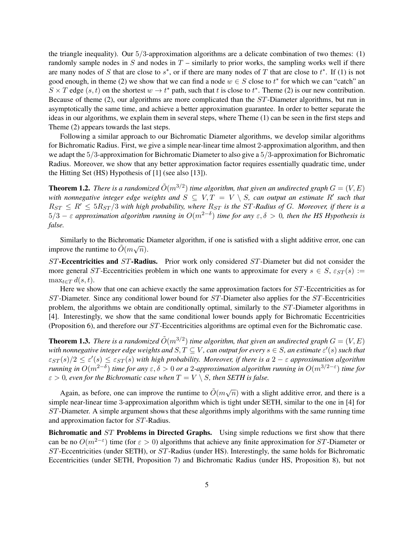the triangle inequality). Our  $5/3$ -approximation algorithms are a delicate combination of two themes: (1) randomly sample nodes in  $S$  and nodes in  $T$  – similarly to prior works, the sampling works well if there are many nodes of S that are close to  $s^*$ , or if there are many nodes of T that are close to  $t^*$ . If (1) is not good enough, in theme (2) we show that we can find a node  $w \in S$  close to  $t^*$  for which we can "catch" an  $S \times T$  edge  $(s, t)$  on the shortest  $w \to t^*$  path, such that t is close to  $t^*$ . Theme (2) is our new contribution. Because of theme (2), our algorithms are more complicated than the ST-Diameter algorithms, but run in asymptotically the same time, and achieve a better approximation guarantee. In order to better separate the ideas in our algorithms, we explain them in several steps, where Theme (1) can be seen in the first steps and Theme (2) appears towards the last steps.

Following a similar approach to our Bichromatic Diameter algorithms, we develop similar algorithms for Bichromatic Radius. First, we give a simple near-linear time almost 2-approximation algorithm, and then we adapt the 5/3-approximation for Bichromatic Diameter to also give a 5/3-approximation for Bichromatic Radius. Moreover, we show that any better approximation factor requires essentially quadratic time, under the Hitting Set (HS) Hypothesis of [1] (see also [13]).

**Theorem 1.2.** There is a randomized  $\tilde{O}(m^{3/2})$  time algorithm, that given an undirected graph  $G = (V, E)$ with nonnegative integer edge weights and  $S \subseteq V, T = V \setminus S$ , can output an estimate R' such that  $R_{ST} \leq R' \leq 5R_{ST}/3$  with high probability, where  $R_{ST}$  is the ST-Radius of G. Moreover, if there is a 5/3 − ε *approximation algorithm running in* O(m2−<sup>δ</sup> ) *time for any* ε, δ > 0*, then the HS Hypothesis is false.*

Similarly to the Bichromatic Diameter algorithm, if one is satisfied with a slight additive error, one can similarly to the Bichfondate improve the runtime to  $\tilde{O}(m\sqrt{n})$ .

 $ST$ -Eccentricities and  $ST$ -Radius. Prior work only considered  $ST$ -Diameter but did not consider the more general ST-Eccentricities problem in which one wants to approximate for every  $s \in S$ ,  $\varepsilon_{ST}(s) :=$  $\max_{t \in \mathcal{T}} d(s, t).$ 

Here we show that one can achieve exactly the same approximation factors for  $ST$ -Eccentricities as for ST-Diameter. Since any conditional lower bound for ST-Diameter also applies for the ST-Eccentricities problem, the algorithms we obtain are conditionally optimal, similarly to the ST-Diameter algorithms in [4]. Interestingly, we show that the same conditional lower bounds apply for Bichromatic Eccentricities (Proposition 6), and therefore our ST-Eccentricities algorithms are optimal even for the Bichromatic case.

**Theorem 1.3.** There is a randomized  $\tilde{O}(m^{3/2})$  time algorithm, that given an undirected graph  $G = (V, E)$ with nonnegative integer edge weights and  $S, T \subseteq V$ , can output for every  $s \in S$ , an estimate  $\varepsilon'(s)$  such that  $\varepsilon_{ST}(s)/2 \leq \varepsilon'(s) \leq \varepsilon_{ST}(s)$  with high probability. Moreover, if there is a  $2-\varepsilon$  approximation algorithm *running in*  $O(m^{2-\delta})$  *time for any* ε, δ > 0 *or a* 2-approximation algorithm running in  $O(m^{3/2-\epsilon})$  time for  $\varepsilon > 0$ , even for the Bichromatic case when  $T = V \setminus S$ , then SETH is false.

Again, as before, one can improve the runtime to  $\tilde{O}(m\sqrt{n})$  with a slight additive error, and there is a simple near-linear time 3-approximation algorithm which is tight under SETH, similar to the one in [4] for ST-Diameter. A simple argument shows that these algorithms imply algorithms with the same running time and approximation factor for ST-Radius.

Bichromatic and ST Problems in Directed Graphs. Using simple reductions we first show that there can be no  $O(m^{2-\epsilon})$  time (for  $\epsilon > 0$ ) algorithms that achieve any finite approximation for ST-Diameter or ST-Eccentricities (under SETH), or ST-Radius (under HS). Interestingly, the same holds for Bichromatic Eccentricities (under SETH, Proposition 7) and Bichromatic Radius (under HS, Proposition 8), but not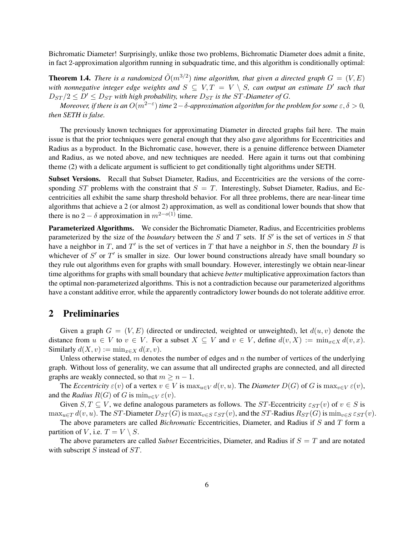Bichromatic Diameter! Surprisingly, unlike those two problems, Bichromatic Diameter does admit a finite, in fact 2-approximation algorithm running in subquadratic time, and this algorithm is conditionally optimal:

**Theorem 1.4.** There is a randomized  $\tilde{O}(m^{3/2})$  time algorithm, that given a directed graph  $G = (V, E)$ with nonnegative integer edge weights and  $S \subseteq V, T = V \setminus S$ , can output an estimate  $D'$  such that  $D_{ST}/2 \leq D' \leq D_{ST}$  with high probability, where  $D_{ST}$  is the ST-Diameter of G.

*Moreover, if there is an*  $O(m^{2-\varepsilon})$  *time*  $2-\delta$ *-approximation algorithm for the problem for some*  $\varepsilon,\delta>0$ *, then SETH is false.*

The previously known techniques for approximating Diameter in directed graphs fail here. The main issue is that the prior techniques were general enough that they also gave algorithms for Eccentricities and Radius as a byproduct. In the Bichromatic case, however, there is a genuine difference between Diameter and Radius, as we noted above, and new techniques are needed. Here again it turns out that combining theme (2) with a delicate argument is sufficient to get conditionally tight algorithms under SETH.

Subset Versions. Recall that Subset Diameter, Radius, and Eccentricities are the versions of the corresponding  $ST$  problems with the constraint that  $S = T$ . Interestingly, Subset Diameter, Radius, and Eccentricities all exhibit the same sharp threshold behavior. For all three problems, there are near-linear time algorithms that achieve a 2 (or almost 2) approximation, as well as conditional lower bounds that show that there is no 2 –  $\delta$  approximation in  $m^{2-o(1)}$  time.

Parameterized Algorithms. We consider the Bichromatic Diameter, Radius, and Eccentricities problems parameterized by the size of the *boundary* between the  $S$  and  $T$  sets. If  $S'$  is the set of vertices in  $S$  that have a neighbor in T, and T' is the set of vertices in T that have a neighbor in S, then the boundary B is whichever of  $S'$  or  $T'$  is smaller in size. Our lower bound constructions already have small boundary so they rule out algorithms even for graphs with small boundary. However, interestingly we obtain near-linear time algorithms for graphs with small boundary that achieve *better* multiplicative approximation factors than the optimal non-parameterized algorithms. This is not a contradiction because our parameterized algorithms have a constant additive error, while the apparently contradictory lower bounds do not tolerate additive error.

# 2 Preliminaries

Given a graph  $G = (V, E)$  (directed or undirected, weighted or unweighted), let  $d(u, v)$  denote the distance from  $u \in V$  to  $v \in V$ . For a subset  $X \subseteq V$  and  $v \in V$ , define  $d(v, X) := \min_{x \in X} d(v, x)$ . Similarly  $d(X, v) := \min_{x \in X} d(x, v)$ .

Unless otherwise stated, m denotes the number of edges and n the number of vertices of the underlying graph. Without loss of generality, we can assume that all undirected graphs are connected, and all directed graphs are weakly connected, so that  $m \geq n - 1$ .

The *Eccentricity*  $\varepsilon(v)$  of a vertex  $v \in V$  is  $\max_{u \in V} d(v, u)$ . The *Diameter*  $D(G)$  of G is  $\max_{v \in V} \varepsilon(v)$ , and the *Radius*  $R(G)$  of G is  $\min_{v \in V} \varepsilon(v)$ .

Given  $S, T \subseteq V$ , we define analogous parameters as follows. The ST-Eccentricity  $\varepsilon_{ST}(v)$  of  $v \in S$  is  $\max_{u \in T} d(v, u)$ . The ST-Diameter  $D_{ST}(G)$  is  $\max_{v \in S} \varepsilon_{ST}(v)$ , and the ST-Radius  $R_{ST}(G)$  is  $\min_{v \in S} \varepsilon_{ST}(v)$ .

The above parameters are called *Bichromatic* Eccentricities, Diameter, and Radius if S and T form a partition of V, i.e.  $T = V \setminus S$ .

The above parameters are called *Subset* Eccentricities, Diameter, and Radius if  $S = T$  and are notated with subscript  $S$  instead of  $ST$ .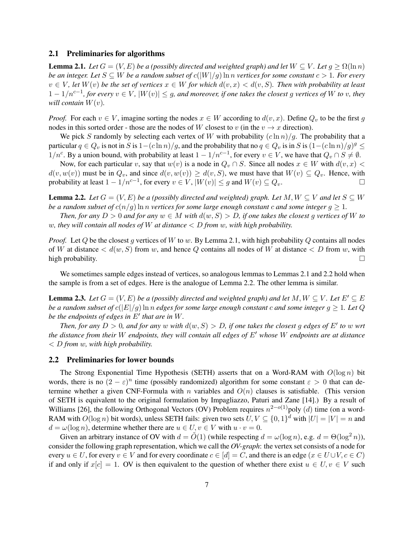# 2.1 Preliminaries for algorithms

**Lemma 2.1.** *Let*  $G = (V, E)$  *be a (possibly directed and weighted graph) and let*  $W \subseteq V$ *. Let*  $g \ge \Omega(\ln n)$ *be an integer. Let*  $S \subseteq W$  *be a random subset of*  $c(|W|/q)$  ln *n vertices for some constant*  $c > 1$ *. For every*  $v \in V$ , let  $W(v)$  be the set of vertices  $x \in W$  for which  $d(v, x) < d(v, S)$ . Then with probability at least 1 − 1/nc−<sup>1</sup> *, for every* v ∈ V *,* |W(v)| ≤ g*, and moreover, if one takes the closest* g *vertices of* W *to* v*, they will contain*  $W(v)$ *.* 

*Proof.* For each  $v \in V$ , imagine sorting the nodes  $x \in W$  according to  $d(v, x)$ . Define  $Q_v$  to be the first g nodes in this sorted order - those are the nodes of W closest to v (in the  $v \to x$  direction).

We pick S randomly by selecting each vertex of W with probability  $(c \ln n)/g$ . The probability that a particular  $q \in Q_v$  is not in S is  $1-(c\ln n)/g$ , and the probability that no  $q \in Q_v$  is in S is  $(1-(c\ln n)/g)^g \le$  $1/n^c$ . By a union bound, with probability at least  $1 - 1/n^{c-1}$ , for every  $v \in V$ , we have that  $Q_v \cap S \neq \emptyset$ .

Now, for each particular v, say that  $w(v)$  is a node in  $Q_v \cap S$ . Since all nodes  $x \in W$  with  $d(v, x) <$  $d(v, w(v))$  must be in  $Q_v$ , and since  $d(v, w(v)) \geq d(v, S)$ , we must have that  $W(v) \subseteq Q_v$ . Hence, with probability at least  $1 - 1/n^{c-1}$ , for every  $v \in V$ ,  $|W(v)| \le g$  and  $W(v) \subseteq Q_v$ .

**Lemma 2.2.** *Let*  $G = (V, E)$  *be a (possibly directed and weighted) graph. Let*  $M, W \subseteq V$  *and let*  $S \subseteq W$ *be a random subset of*  $c(n/g)$  ln *n vertices for some large enough constant c and some integer*  $g \geq 1$ *.* 

*Then, for any*  $D > 0$  *and for any*  $w \in M$  *with*  $d(w, S) > D$ *, if one takes the closest q vertices of* W *to* w*, they will contain all nodes of* W *at distance* < D *from* w*, with high probability.*

*Proof.* Let  $Q$  be the closest g vertices of  $W$  to  $w$ . By Lemma 2.1, with high probability  $Q$  contains all nodes of W at distance  $\langle d(w, S)$  from w, and hence Q contains all nodes of W at distance  $\langle D \rangle$  from w, with high probability.  $\square$ 

We sometimes sample edges instead of vertices, so analogous lemmas to Lemmas 2.1 and 2.2 hold when the sample is from a set of edges. Here is the analogue of Lemma 2.2. The other lemma is similar.

**Lemma 2.3.** *Let*  $G = (V, E)$  *be a (possibly directed and weighted graph) and let*  $M, W \subseteq V$ *. Let*  $E' \subseteq E$ *be a random subset of*  $c(|E|/g)$  ln n *edges for some large enough constant* c *and some integer*  $g \geq 1$ *. Let* Q *be the endpoints of edges in*  $E'$  *that are in* W.

*Then, for any*  $D > 0$ *, and for any* w with  $d(w, S) > D$ , if one takes the closest g edges of E' to w wrt *the distance from their* W *endpoints, they will contain all edges of* E' whose W *endpoints are at distance* < D *from* w*, with high probability.*

#### 2.2 Preliminaries for lower bounds

The Strong Exponential Time Hypothesis (SETH) asserts that on a Word-RAM with  $O(\log n)$  bit words, there is no  $(2 - \varepsilon)^n$  time (possibly randomized) algorithm for some constant  $\varepsilon > 0$  that can determine whether a given CNF-Formula with n variables and  $O(n)$  clauses is satisfiable. (This version of SETH is equivalent to the original formulation by Impagliazzo, Paturi and Zane [14].) By a result of Williams [26], the following Orthogonal Vectors (OV) Problem requires  $n^{2-o(1)}$ poly (d) time (on a word-RAM with  $O(\log n)$  bit words), unless SETH fails: given two sets  $U, V \subseteq \{0, 1\}^d$  with  $|U| = |V| = n$  and  $d = \omega(\log n)$ , determine whether there are  $u \in U, v \in V$  with  $u \cdot v = 0$ .

Given an arbitrary instance of OV with  $d = \tilde{O}(1)$  (while respecting  $d = \omega(\log n)$ , e.g.  $d = \Theta(\log^2 n)$ ), consider the following graph representation, which we call the *OV-graph*: the vertex set consists of a node for every  $u \in U$ , for every  $v \in V$  and for every coordinate  $c \in [d] = C$ , and there is an edge  $(x \in U \cup V, c \in C)$ if and only if  $x[c] = 1$ . OV is then equivalent to the question of whether there exist  $u \in U, v \in V$  such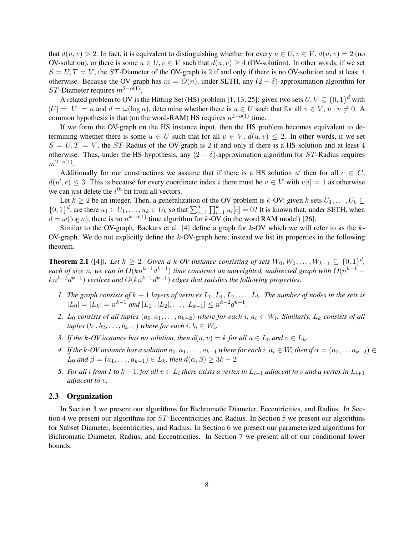that  $d(u, v) > 2$ . In fact, it is equivalent to distinguishing whether for every  $u \in U, v \in V, d(u, v) = 2$  (no OV-solution), or there is some  $u \in U$ ,  $v \in V$  such that  $d(u, v) \geq 4$  (OV-solution). In other words, if we set  $S = U, T = V$ , the ST-Diameter of the OV-graph is 2 if and only if there is no OV-solution and at least 4 otherwise. Because the OV graph has  $m = O(n)$ , under SETH, any  $(2 - \delta)$ -approximation algorithm for ST-Diameter requires  $m^{2-o(1)}$ .

A related problem to OV is the Hitting Set (HS) problem [1, 13, 25]: given two sets  $U, V \subseteq \{0, 1\}^d$  with  $|U| = |V| = n$  and  $d = \omega(\log n)$ , determine whether there is  $u \in U$  such that for all  $v \in V$ ,  $u \cdot v \neq 0$ . common hypothesis is that (on the word-RAM) HS requires  $n^{2-o(1)}$  time.

If we form the OV-graph on the HS instance input, then the HS problem becomes equivalent to determining whether there is some  $u \in U$  such that for all  $v \in V$ ,  $d(u, v) \leq 2$ . In other words, if we set  $S = U, T = V$ , the ST-Radius of the OV-graph is 2 if and only if there is a HS-solution and at least 4 otherwise. Thus, under the HS hypothesis, any  $(2 - \delta)$ -approximation algorithm for ST-Radius requires  $m^{2-o(1)}$ .

Additionally for our constructions we assume that if there is a HS solution u' then for all  $c \in C$ ,  $d(u', c) \leq 3$ . This is because for every coordinate index i there must be  $v \in V$  with  $v[i] = 1$  as otherwise we can just delete the  $i^{th}$  bit from all vectors.

Let  $k \ge 2$  be an integer. Then, a generalization of the OV problem is k-OV: given k sets  $U_1, \ldots, U_k \subseteq$  $\{0,1\}^d$ , are there  $u_1 \in U_1, \ldots, u_k \in U_k$  so that  $\sum_{c=1}^d \prod_{i=1}^k u_i[c] = 0$ ? It is known that, under SETH, when  $d = \omega(\log n)$ , there is no  $n^{k-o(1)}$  time algorithm for k-OV (in the word RAM model) [26].

Similar to the OV-graph, Backurs et al. [4] define a graph for  $k$ -OV which we will refer to as the  $k$ -OV-graph. We do not explicitly define the  $k$ -OV-graph here; instead we list its properties in the following theorem.

**Theorem 2.1** ([4]). Let  $k \geq 2$ . Given a k-OV instance consisting of sets  $W_0, W_1, \ldots, W_{k-1} \subseteq \{0, 1\}^d$ , each of size n, we can in  $O(kn^{k-1}d^{k-1})$  time construct an unweighted, undirected graph with  $O(n^{k-1} +$  $kn^{k-2}$  $d^{k-1}$ ) *vertices and*  $O(kn^{k-1}d^{k-1})$  edges that satisfies the following properties.

- *1.* The graph consists of  $k + 1$  layers of vertices  $L_0, L_1, L_2, \ldots, L_k$ . The number of nodes in the sets is  $|L_0| = |L_k| = n^{k-1}$  and  $|L_1|, |L_2|, \ldots, |L_{k-1}| \leq n^{k-2} d^{k-1}$ .
- 2. L<sub>0</sub> consists of all tuples  $(a_0, a_1, \ldots, a_{k-2})$  where for each i,  $a_i \in W_i$ . Similarly,  $L_k$  consists of all  $tuples (b_1, b_2, \ldots, b_{k-1})$  *where for each*  $i, b_i \in W_i$ .
- *3.* If the k-OV instance has no solution, then  $d(u, v) = k$  for all  $u \in L_0$  and  $v \in L_k$ .
- $4.$  If the k-OV instance has a solution  $a_0, a_1, \ldots, a_{k-1}$  where for each  $i, a_i \in W_i$  then if  $\alpha = (a_0, \ldots a_{k-2}) \in W_i$  $L_0$  *and*  $\beta = (a_1, \ldots, a_{k-1}) \in L_k$ *, then*  $d(\alpha, \beta) \geq 3k - 2$ *.*
- *5.* For all i from 1 to  $k-1$ , for all  $v \in L_i$  there exists a vertex in  $L_{i-1}$  adjacent to v and a vertex in  $L_{i+1}$ *adjacent to* v*.*

# 2.3 Organization

In Section 3 we present our algorithms for Bichromatic Diameter, Eccentricities, and Radius. In Section 4 we present our algorithms for ST-Eccentricities and Radius. In Section 5 we present our algorithms for Subset Diameter, Eccentricities, and Radius. In Section 6 we present our parameterized algorithms for Bichromatic Diameter, Radius, and Eccentricities. In Section 7 we present all of our conditional lower bounds.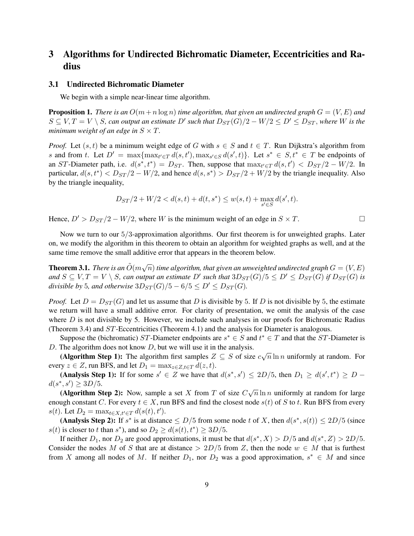# 3 Algorithms for Undirected Bichromatic Diameter, Eccentricities and Radius

#### 3.1 Undirected Bichromatic Diameter

We begin with a simple near-linear time algorithm.

**Proposition 1.** *There is an*  $O(m+n \log n)$  *time algorithm, that given an undirected graph*  $G = (V, E)$  *and*  $S \subseteq V, T = V \setminus S$ , can output an estimate D' such that  $D_{ST}(G)/2 - W/2 \le D' \le D_{ST}$ , where W is the *minimum weight of an edge in*  $S \times T$ .

*Proof.* Let  $(s, t)$  be a minimum weight edge of G with  $s \in S$  and  $t \in T$ . Run Dijkstra's algorithm from s and from t. Let  $D' = \max\{\max_{t' \in T} d(s, t'), \max_{s' \in S} d(s', t)\}\$ . Let  $s^* \in S, t^* \in T$  be endpoints of an ST-Diameter path, i.e.  $d(s^*, t^*) = D_{ST}$ . Then, suppose that  $\max_{t' \in T} d(s, t') < D_{ST}/2 - W/2$ . In particular,  $d(s, t^*) < D_{ST}/2 - W/2$ , and hence  $d(s, s^*) > D_{ST}/2 + W/2$  by the triangle inequality. Also by the triangle inequality,

$$
D_{ST}/2 + W/2 < d(s,t) + d(t,s^*) \le w(s,t) + \max_{s' \in S} d(s',t).
$$

Hence,  $D' > D_{ST}/2 - W/2$ , where W is the minimum weight of an edge in  $S \times T$ .

Now we turn to our 5/3-approximation algorithms. Our first theorem is for unweighted graphs. Later on, we modify the algorithm in this theorem to obtain an algorithm for weighted graphs as well, and at the same time remove the small additive error that appears in the theorem below.

**Theorem 3.1.** *There is an*  $\tilde{O}(m\sqrt{n})$  *time algorithm, that given an unweighted undirected graph*  $G = (V, E)$ and  $S \subseteq V, T = V \setminus S$ , can output an estimate  $D'$  such that  $3D_{ST}(G)/5 \le D' \le D_{ST}(G)$  if  $D_{ST}(G)$  is *divisible by* 5*, and otherwise*  $3D_{ST}(G)/5 - 6/5 \le D' \le D_{ST}(G)$ *.* 

*Proof.* Let  $D = D_{ST}(G)$  and let us assume that D is divisible by 5. If D is not divisible by 5, the estimate we return will have a small additive error. For clarity of presentation, we omit the analysis of the case where  $D$  is not divisible by 5. However, we include such analyses in our proofs for Bichromatic Radius (Theorem 3.4) and ST-Eccentricities (Theorem 4.1) and the analysis for Diameter is analogous.

Suppose the (bichromatic) ST-Diameter endpoints are  $s^* \in S$  and  $t^* \in T$  and that the ST-Diameter is D. The algorithm does not know  $D$ , but we will use it in the analysis.

The argorithm does not know D, but we will use it in the analysis.<br>(Algorithm Step 1): The algorithm first samples  $Z \subseteq S$  of size  $c\sqrt{n} \ln n$  uniformly at random. For every  $z \in Z$ , run BFS, and let  $D_1 = \max_{z \in Z, t \in T} d(z, t)$ .

(Analysis Step 1): If for some  $s' \in Z$  we have that  $d(s^*, s') \leq 2D/5$ , then  $D_1 \geq d(s', t^*) \geq D$  $d(s^*, s') \geq 3D/5.$ 

(Algorithm Step 2): Now, sample a set X from T of size  $C\sqrt{n}\ln n$  uniformly at random for large enough constant C. For every  $t \in X$ , run BFS and find the closest node  $s(t)$  of S to t. Run BFS from every s(t). Let  $D_2 = \max_{t \in X, t' \in T} d(s(t), t')$ .

(Analysis Step 2): If  $s^*$  is at distance  $\leq D/5$  from some node t of X, then  $d(s^*, s(t)) \leq 2D/5$  (since  $s(t)$  is closer to t than  $s^*$ ), and so  $D_2 \ge d(s(t), t^*) \ge 3D/5$ .

If neither  $D_1$ , nor  $D_2$  are good approximations, it must be that  $d(s^*, X) > D/5$  and  $d(s^*, Z) > 2D/5$ . Consider the nodes M of S that are at distance  $> 2D/5$  from Z, then the node  $w \in M$  that is furthest from X among all nodes of M. If neither  $D_1$ , nor  $D_2$  was a good approximation,  $s^* \in M$  and since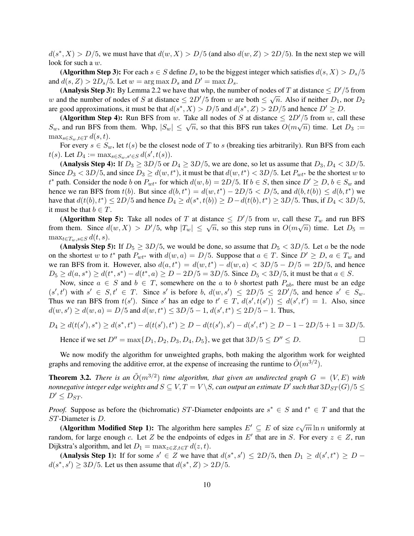$d(s^*, X) > D/5$ , we must have that  $d(w, X) > D/5$  (and also  $d(w, Z) > 2D/5$ ). In the next step we will look for such a w.

(Algorithm Step 3): For each  $s \in S$  define  $D_s$  to be the biggest integer which satisfies  $d(s, X) > D_s/5$ and  $d(s, Z) > 2D_s/5$ . Let  $w = \arg \max D_s$  and  $D' = \max D_s$ .

(Analysis Step 3): By Lemma 2.2 we have that whp, the number of nodes of T at distance  $\leq D'/5$  from w and the number of nodes of S at distance  $\leq 2D'/5$  from w are both  $\leq \sqrt{n}$ . Also if neither  $D_1$ , nor  $D_2$ are good approximations, it must be that  $d(s^*, X) > D/5$  and  $d(s^*, Z) > 2D/5$  and hence  $D' \ge D$ .

(Algorithm Step 4): Run BFS from w. Take all nodes of S at distance  $\leq 2D'/5$  from w, call these (**Algorithm Step 4).** Null BFS from w. Take an hours of B at ulstance  $\leq 2D/3$  from w, can these  $S_w$ , and run BFS from them. Whp,  $|S_w| \leq \sqrt{n}$ , so that this BFS run takes  $O(m\sqrt{n})$  time. Let  $D_3 :=$  $\max_{s \in S_m, t \in T} d(s, t).$ 

For every  $s \in S_w$ , let  $t(s)$  be the closest node of T to s (breaking ties arbitrarily). Run BFS from each t(s). Let  $D_4 := \max_{s \in S_w, s' \in S} d(s', t(s)).$ 

(Analysis Step 4): If  $D_3 \geq 3D/5$  or  $D_4 \geq 3D/5$ , we are done, so let us assume that  $D_3, D_4 < 3D/5$ . Since  $D_3 < 3D/5$ , and since  $D_3 \ge d(w, t^*)$ , it must be that  $d(w, t^*) < 3D/5$ . Let  $P_{wt^*}$  be the shortest w to  $t^*$  path. Consider the node b on  $P_{wt^*}$  for which  $d(w, b) = 2D/5$ . If  $b \in S$ , then since  $D' \ge D$ ,  $b \in S_w$  and hence we ran BFS from  $t(b)$ . But since  $d(b, t^*) = d(w, t^*) - 2D/5 < D/5$ , and  $d(b, t(b)) \leq d(b, t^*)$  we have that  $d(t(b), t^*) \le 2D/5$  and hence  $D_4 \ge d(s^*, t(b)) \ge D - d(t(b), t^*) \ge 3D/5$ . Thus, if  $D_4 < 3D/5$ , it must be that  $b \in T$ .

(Algorithm Step 5): Take all nodes of T at distance  $\leq D'/5$  from w, call these  $T_w$  and run BFS (**Algorithm step 5).** Take an hodes of T at distance  $\leq D/5$  from w, can diese  $T_w$  and fun Brs from them. Since  $d(w, X) > D'/5$ , whp  $|T_w| \leq \sqrt{n}$ , so this step runs in  $O(m\sqrt{n})$  time. Let  $D_5 =$  $\max_{t \in T_w, s \in S} d(t, s)$ .

(Analysis Step 5): If  $D_5 \geq 3D/5$ , we would be done, so assume that  $D_5 < 3D/5$ . Let a be the node on the shortest w to  $t^*$  path  $P_{wt^*}$  with  $d(w, a) = D/5$ . Suppose that  $a \in T$ . Since  $D' \geq D$ ,  $a \in T_w$  and we ran BFS from it. However, also  $d(a, t^*) = d(w, t^*) - d(w, a) < 3D/5 - D/5 = 2D/5$ , and hence  $D_5 \ge d(a, s^*) \ge d(t^*, s^*) - d(t^*, a) \ge D - 2D/5 = 3D/5$ . Since  $D_5 < 3D/5$ , it must be that  $a \in S$ .

Now, since  $a \in S$  and  $b \in T$ , somewhere on the a to b shortest path  $P_{ab}$ , there must be an edge  $(s', t')$  with  $s' \in S, t' \in T$ . Since s' is before b,  $d(w, s') \leq 2D/5 \leq 2D'/5$ , and hence  $s' \in S_w$ . Thus we ran BFS from  $t(s')$ . Since s' has an edge to  $t' \in T$ ,  $d(s', t(s')) \leq d(s', t') = 1$ . Also, since  $d(w, s') \ge d(w, a) = D/5$  and  $d(w, t^*) \le 3D/5 - 1$ ,  $d(s', t^*) \le 2D/5 - 1$ . Thus,

$$
D_4 \ge d(t(s'), s^*) \ge d(s^*, t^*) - d(t(s'), t^*) \ge D - d(t(s'), s') - d(s', t^*) \ge D - 1 - 2D/5 + 1 = 3D/5.
$$

Hence if we set  $D'' = \max\{D_1, D_2, D_3, D_4, D_5\}$ , we get that  $3D/5 \le D'' \le D$ .

We now modify the algorithm for unweighted graphs, both making the algorithm work for weighted graphs and removing the additive error, at the expense of increasing the runtime to  $\tilde{O}(m^{3/2})$ .

**Theorem 3.2.** There is an  $\tilde{O}(m^{3/2})$  time algorithm, that given an undirected graph  $G = (V, E)$  with *nonnegative integer edge weights and*  $S \subseteq V, T = V \backslash S$ *, can output an estimate*  $D'$  *such that*  $3D_{ST}(G)/5 \leq$  $D' \leq D_{ST}$ *.* 

*Proof.* Suppose as before the (bichromatic) ST-Diameter endpoints are  $s^* \in S$  and  $t^* \in T$  and that the ST-Diameter is D.

(Algorithm Modified Step 1): The algorithm here samples  $E' \subseteq E$  of size  $c\sqrt{m} \ln n$  uniformly at random, for large enough c. Let Z be the endpoints of edges in E' that are in S. For every  $z \in Z$ , run Dijkstra's algorithm, and let  $D_1 = \max_{z \in Z, t \in T} d(z, t)$ .

(Analysis Step 1): If for some  $s' \in Z$  we have that  $d(s^*, s') \leq 2D/5$ , then  $D_1 \geq d(s', t^*) \geq D$  $d(s^*, s') \geq 3D/5$ . Let us then assume that  $d(s^*, Z) > 2D/5$ .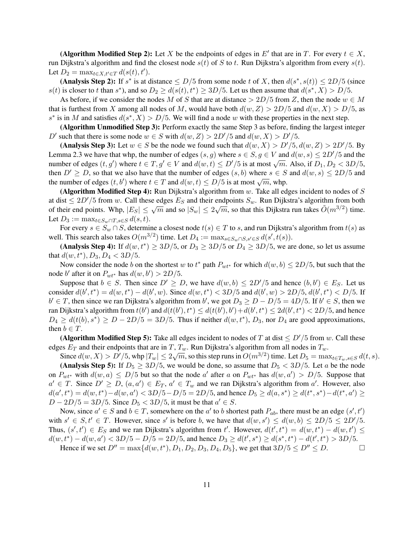(Algorithm Modified Step 2): Let X be the endpoints of edges in E' that are in T. For every  $t \in X$ , run Dijkstra's algorithm and find the closest node  $s(t)$  of S to t. Run Dijkstra's algorithm from every  $s(t)$ . Let  $D_2 = \max_{t \in X, t' \in T} d(s(t), t').$ 

(Analysis Step 2): If  $s^*$  is at distance  $\leq D/5$  from some node t of X, then  $d(s^*, s(t)) \leq 2D/5$  (since  $s(t)$  is closer to t than  $s^*$ ), and so  $D_2 \ge d(s(t), t^*) \ge 3D/5$ . Let us then assume that  $d(s^*, X) > D/5$ .

As before, if we consider the nodes M of S that are at distance  $> 2D/5$  from Z, then the node  $w \in M$ that is furthest from X among all nodes of M, would have both  $d(w, Z) > 2D/5$  and  $d(w, X) > D/5$ , as  $s^*$  is in M and satisfies  $d(s^*, X) > D/5$ . We will find a node w with these properties in the next step.

(Algorithm Unmodified Step 3): Perform exactly the same Step 3 as before, finding the largest integer D' such that there is some node  $w \in S$  with  $d(w, Z) > 2D'/5$  and  $d(w, X) > D'/5$ .

(Analysis Step 3): Let  $w \in S$  be the node we found such that  $d(w, X) > D'/5$ ,  $d(w, Z) > 2D'/5$ . By Lemma 2.3 we have that whp, the number of edges  $(s, g)$  where  $s \in S, g \in V$  and  $d(w, s) \leq 2D'/5$  and the Lemma 2.5 we have that whp, the humber of edges  $(s, y)$  where  $s \in S, y \in V$  and  $u(w, s) \le 2D/5$  and the number of edges  $(t, g')$  where  $t \in T, g' \in V$  and  $d(w, t) \le D'/5$  is at most  $\sqrt{m}$ . Also, if  $D_1, D_2 < 3D/5$ , then  $D' \geq D$ , so that we also have that the number of edges  $(s, b)$  where  $s \in S$  and  $d(w, s) \leq 2D/5$  and then  $D \geq D$ , so that we also have that the humber of edges  $(s, 0)$  where  $s \in D$ <br>the number of edges  $(t, b')$  where  $t \in T$  and  $d(w, t) \leq D/5$  is at most  $\sqrt{m}$ , whp.

(Algorithm Modified Step 4): Run Dijkstra's algorithm from  $w$ . Take all edges incident to nodes of  $S$ at dist  $\leq 2D'/5$  from w. Call these edges  $E_S$  and their endpoints  $S_w$ . Run Dijkstra's algorithm from both of their end points. Whp,  $|E_S| \le \sqrt{m}$  and so  $|S_w| \le 2\sqrt{m}$ , so that this Dijkstra run takes  $\tilde{O}(m^{3/2})$  time. Let  $D_3 := \max_{t \in S_w \cap T, s \in S} d(s, t).$ 

For every  $s \in S_w \cap S$ , determine a closest node  $t(s) \in T$  to s, and run Dijkstra's algorithm from  $t(s)$  as well. This search also takes  $O(m^{3/2})$  time. Let  $D_4 := \max_{s \in S_w \cap S, s' \in S} d(s', t(s))$ .

(Analysis Step 4): If  $d(w, t^*) \ge 3D/5$ , or  $D_3 \ge 3D/5$  or  $D_4 \ge 3D/5$ , we are done, so let us assume that  $d(w, t^*), D_3, D_4 < 3D/5$ .

Now consider the node b on the shortest w to  $t^*$  path  $P_{wt^*}$  for which  $d(w, b) \leq 2D/5$ , but such that the node b' after it on  $P_{wt^*}$  has  $d(w, b') > 2D/5$ .

Suppose that  $b \in S$ . Then since  $D' \ge D$ , we have  $d(w, b) \le 2D'/5$  and hence  $(b, b') \in E_S$ . Let us consider  $d(b', t^*) = d(w, t^*) - d(b', w)$ . Since  $d(w, t^*) < 3D/5$  and  $d(b', w) > 2D/5$ ,  $d(b', t^*) < D/5$ . If  $b' \in T$ , then since we ran Dijkstra's algorithm from b', we got  $D_3 \ge D - D/5 = 4D/5$ . If  $b' \in S$ , then we ran Dijkstra's algorithm from  $t(b')$  and  $d(t(b'), t^*) \leq d(t(b'), b') + d(b', t^*) \leq 2d(b', t^*) < 2D/5$ , and hence  $D_4 \ge d(t(b), s^*) \ge D - 2D/5 = 3D/5$ . Thus if neither  $d(w, t^*)$ ,  $D_3$ , nor  $D_4$  are good approximations, then  $b \in T$ .

(Algorithm Modified Step 5): Take all edges incident to nodes of T at dist  $\leq D'/5$  from w. Call these edges  $E_T$  and their endpoints that are in T,  $T_w$ . Run Dijkstra's algorithm from all nodes in  $T_w$ .

Since  $d(w, X) > D'/5$ , whp  $|T_w| \le 2\sqrt{m}$ , so this step runs in  $O(m^{3/2})$  time. Let  $D_5 = \max_{t \in T_w, s \in S} d(t, s)$ .

(Analysis Step 5): If  $D_5 \geq 3D/5$ , we would be done, so assume that  $D_5 < 3D/5$ . Let a be the node on  $P_{wt^*}$  with  $d(w, a) \le D/5$  but so that the node a' after a on  $P_{wt^*}$  has  $d(w, a') > D/5$ . Suppose that  $a' \in T$ . Since  $D' \geq D$ ,  $(a, a') \in E_T$ ,  $a' \in T_w$  and we ran Dijkstra's algorithm from a'. However, also  $d(a', t^*) = d(w, t^*) - d(w, a') < 3D/5 - D/5 = 2D/5$ , and hence  $D_5 \ge d(a, s^*) \ge d(t^*, s^*) - d(t^*, a') \ge$  $D - 2D/5 = 3D/5$ . Since  $D_5 < 3D/5$ , it must be that  $a' \in S$ .

Now, since  $a' \in S$  and  $b \in T$ , somewhere on the  $a'$  to b shortest path  $P_{ab}$ , there must be an edge  $(s', t')$ with  $s' \in S, t' \in T$ . However, since s' is before b, we have that  $d(w, s') \leq d(w, b) \leq 2D/5 \leq 2D'/5$ . Thus,  $(s', t') \in E_S$  and we ran Dijkstra's algorithm from t'. However,  $d(t', t^*) = d(w, t^*) - d(w, t') \le$  $d(w, t^*) - d(w, a') < 3D/5 - D/5 = 2D/5$ , and hence  $D_3 \ge d(t', s^*) \ge d(s^*, t^*) - d(t', t^*) > 3D/5$ .

Hence if we set  $D'' = \max\{d(w, t^*), D_1, D_2, D_3, D_4, D_5\}$ , we get that  $3D/5 \le D'' \le D$ .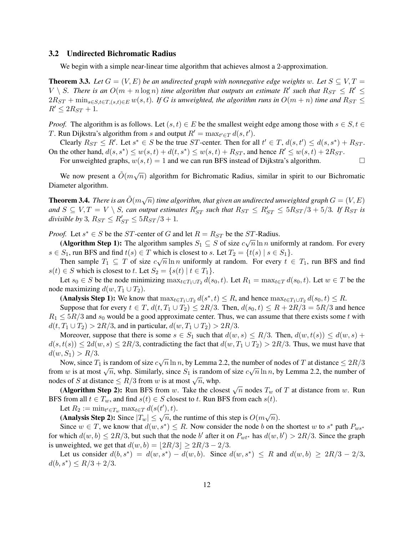#### 3.2 Undirected Bichromatic Radius

We begin with a simple near-linear time algorithm that achieves almost a 2-approximation.

**Theorem 3.3.** Let  $G = (V, E)$  be an undirected graph with nonnegative edge weights w. Let  $S \subseteq V, T =$  $V \setminus S$ . There is an  $O(m + n \log n)$  time algorithm that outputs an estimate R' such that  $R_{ST} \le R' \le$  $2R_{ST}$  +  $\min_{s \in S, t \in T, (s,t) \in E} w(s,t)$ . If G is unweighted, the algorithm runs in  $O(m+n)$  time and  $R_{ST} \leq$  $R' \leq 2R_{ST} + 1$ .

*Proof.* The algorithm is as follows. Let  $(s, t) \in E$  be the smallest weight edge among those with  $s \in S$ ,  $t \in$ T. Run Dijkstra's algorithm from s and output  $R' = \max_{t' \in T} d(s, t')$ .

Clearly  $R_{ST} \le R'$ . Let  $s^* \in S$  be the true ST-center. Then for all  $t' \in T$ ,  $d(s, t') \le d(s, s^*) + R_{ST}$ . On the other hand,  $d(s, s^*) \le w(s, t) + d(t, s^*) \le w(s, t) + R_{ST}$ , and hence  $R' \le w(s, t) + 2R_{ST}$ .

For unweighted graphs,  $w(s, t) = 1$  and we can run BFS instead of Dijkstra's algorithm.

We now present a  $\tilde{O}(m\sqrt{n})$  algorithm for Bichromatic Radius, similar in spirit to our Bichromatic Diameter algorithm.

**Theorem 3.4.** *There is an*  $\tilde{O}(m\sqrt{n})$  *time algorithm, that given an undirected unweighted graph*  $G = (V, E)$ and  $S \subseteq V, T = V \setminus S$ , can output estimates  $R_{ST}'$  such that  $R_{ST} \le R_{ST}' \le 5R_{ST}/3 + 5/3$ . If  $R_{ST}$  is  $divisible by 3, R_{ST} \leq R'_{ST} \leq 5R_{ST}/3 + 1.$ 

*Proof.* Let  $s^* \in S$  be the ST-center of G and let  $R = R_{ST}$  be the ST-Radius.

(Algorithm Step 1): The algorithm samples  $S_1 \subseteq S$  of size  $c\sqrt{n} \ln n$  uniformly at random. For every  $s \in S_1$ , run BFS and find  $t(s) \in T$  which is closest to s. Let  $T_2 = \{t(s) \mid s \in S_1\}$ .

Then sample  $T_1 \subseteq T$  of size  $c\sqrt{n} \ln n$  uniformly at random. For every  $t \in T_1$ , run BFS and find  $s(t) \in S$  which is closest to t. Let  $S_2 = \{s(t) | t \in T_1\}.$ 

Let  $s_0 \in S$  be the node minimizing  $\max_{t \in T_1 \cup T_2} d(s_0, t)$ . Let  $R_1 = \max_{t \in T} d(s_0, t)$ . Let  $w \in T$  be the node maximizing  $d(w, T_1 \cup T_2)$ .

(Analysis Step 1): We know that  $\max_{t \in T_1 \cup T_2} d(s^*, t) \leq R$ , and hence  $\max_{t \in T_1 \cup T_2} d(s_0, t) \leq R$ .

Suppose that for every  $t \in T$ ,  $d(t, T_1 \cup T_2) \leq 2R/3$ . Then,  $d(s_0, t) \leq R + 2R/3 = 5R/3$  and hence  $R_1 \leq 5R/3$  and  $s_0$  would be a good approximate center. Thus, we can assume that there exists some t with  $d(t, T_1 \cup T_2) > 2R/3$ , and in particular,  $d(w, T_1 \cup T_2) > 2R/3$ .

Moreover, suppose that there is some  $s \in S_1$  such that  $d(w, s) \le R/3$ . Then,  $d(w, t(s)) \le d(w, s)$  +  $d(s,t(s)) \leq 2d(w,s) \leq 2R/3$ , contradicting the fact that  $d(w,T_1 \cup T_2) > 2R/3$ . Thus, we must have that  $d(w, S_1) > R/3.$ 

Now, since  $T_1$  is random of size  $c\sqrt{n} \ln n$ , by Lemma 2.2, the number of nodes of T at distance  $\leq 2R/3$ from w is at most  $\sqrt{n}$ , whp. Similarly, since  $S_1$  is random of size  $c\sqrt{n} \ln n$ , by Lemma 2.2, the number of from w is at most  $\sqrt{n}$ , whp. Similarly, since  $S_1$  is random of size  $c\sqrt{n} \ln n$ , by Lemma 2.2, the number nom w is at most  $\sqrt{n}$ , whp. Similarly, since  $S_1$  is random<br>nodes of S at distance  $\leq R/3$  from w is at most  $\sqrt{n}$ , whp.

(Algorithm Step 2): Run BFS from w. Take the closest  $\sqrt{n}$  nodes  $T_w$  of T at distance from w. Run (Algorithm Step 2): Run BFS from w. Take the closest  $\sqrt{n}$  nodes  $T_w$  of T at distance from w. Run BFS from all  $t \in T_w$ , and find  $s(t) \in S$  closest to t. Run BFS from each  $s(t)$ .

Let  $R_2 := \min_{t' \in T_w} \max_{t \in T} d(s(t'), t)$ .

Let  $n_2 := \min_{t \in T_w} \max_{t \in T} a(s(t), t)$ .<br>(Analysis Step 2): Since  $|T_w| \leq \sqrt{n}$ , the runtime of this step is  $O(m\sqrt{n})$ .

Since  $w \in T$ , we know that  $d(w, s^*) \leq R$ . Now consider the node b on the shortest w to  $s^*$  path  $P_{ws^*}$ for which  $d(w, b) \leq 2R/3$ , but such that the node b' after it on  $P_{wt^*}$  has  $d(w, b') > 2R/3$ . Since the graph is unweighted, we get that  $d(w, b) = |2R/3| \ge 2R/3 - 2/3$ .

Let us consider  $d(b, s^*) = d(w, s^*) - d(w, b)$ . Since  $d(w, s^*) \leq R$  and  $d(w, b) \geq 2R/3 - 2/3$ ,  $d(b, s^*) \leq R/3 + 2/3.$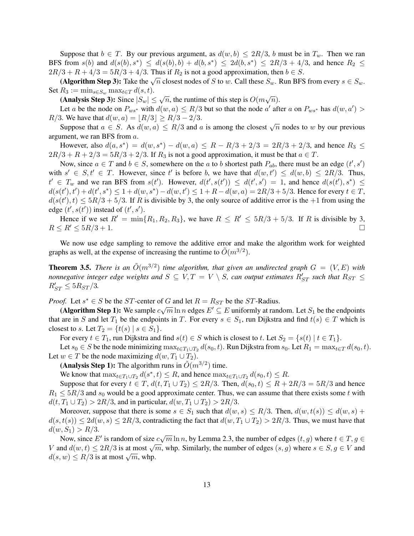Suppose that  $b \in T$ . By our previous argument, as  $d(w, b) \leq 2R/3$ , b must be in  $T_w$ . Then we ran BFS from  $s(b)$  and  $d(s(b), s^*) \leq d(s(b), b) + d(b, s^*) \leq 2d(b, s^*) \leq 2R/3 + 4/3$ , and hence  $R_2 \leq$  $2R/3 + R + 4/3 = 5R/3 + 4/3$ . Thus if  $R_2$  is not a good approximation, then  $b \in S$ .

 $3 + it + 4/3 = 3it/3 + 4/3$ . Thus if  $te_2$  is not a good approximation, then  $0 \in S$ .<br>(Algorithm Step 3): Take the  $\sqrt{n}$  closest nodes of S to w. Call these  $S_w$ . Run BFS from every  $s \in S_w$ . Set  $R_3 := \min_{s \in S_w} \max_{t \in T} d(s, t).$ 

 $m_3 := \min_{s \in S_w} \max_{t \in T} a(s, t).$ <br>(Analysis Step 3): Since  $|S_w| \leq \sqrt{n}$ , the runtime of this step is  $O(m\sqrt{n})$ .

Let a be the node on  $P_{ws^*}$  with  $d(w, a) \le R/3$  but so that the node a' after a on  $P_{ws^*}$  has  $d(w, a') >$ R/3. We have that  $d(w, a) = |R/3| \ge R/3 - 2/3$ .

Suppose that  $a(w, a) = [A \setminus b] \le R/3$  and a is among the closest  $\sqrt{n}$  nodes to w by our previous argument, we ran BFS from a.

However, also  $d(a, s^*) = d(w, s^*) - d(w, a) \le R - R/3 + 2/3 = 2R/3 + 2/3$ , and hence  $R_3 \le$  $2R/3 + R + 2/3 = 5R/3 + 2/3$ . If  $R_3$  is not a good approximation, it must be that  $a \in T$ .

Now, since  $a \in T$  and  $b \in S$ , somewhere on the a to b shortest path  $P_{ab}$ , there must be an edge  $(t', s')$ with  $s' \in S, t' \in T$ . However, since t' is before b, we have that  $d(w, t') \leq d(w, b) \leq 2R/3$ . Thus,  $t' \in T_w$  and we ran BFS from  $s(t')$ . However,  $d(t', s(t')) \leq d(t', s') = 1$ , and hence  $d(s(t'), s^*) \leq$  $d(s(t'), t') + d(t', s^*) \leq 1 + d(w, s^*) - d(w, t') \leq 1 + R - d(w, a) = 2R/3 + 5/3$ . Hence for every  $t \in T$ ,  $d(s(t'), t) \leq 5R/3 + 5/3$ . If R is divisible by 3, the only source of additive error is the +1 from using the edge  $(t', s(t'))$  instead of  $(t', s')$ .

Hence if we set  $R' = \min\{R_1, R_2, R_3\}$ , we have  $R \le R' \le 5R/3 + 5/3$ . If R is divisible by 3,  $R \le R' \le 5R/3 + 1.$ 

We now use edge sampling to remove the additive error and make the algorithm work for weighted graphs as well, at the expense of increasing the runtime to  $\tilde{O}(m^{3/2})$ .

**Theorem 3.5.** *There is an*  $\tilde{O}(m^{3/2})$  *time algorithm, that given an undirected graph*  $G = (V, E)$  *with nonnegative integer edge weights and*  $S \subseteq V, T = V \setminus S$ *, can output estimates*  $R'_{ST}$  *such that*  $R_{ST} \leq$  $R'_{ST} \leq 5R_{ST}/3.$ 

*Proof.* Let  $s^* \in S$  be the ST-center of G and let  $R = R_{ST}$  be the ST-Radius.

(Algorithm Step 1): We sample  $c\sqrt{m} \ln n$  edges  $E' \subseteq E$  uniformly at random. Let  $S_1$  be the endpoints that are in S and let  $T_1$  be the endpoints in T. For every  $s \in S_1$ , run Dijkstra and find  $t(s) \in T$  which is closest to s. Let  $T_2 = \{t(s) \mid s \in S_1\}.$ 

For every  $t \in T_1$ , run Dijkstra and find  $s(t) \in S$  which is closest to t. Let  $S_2 = \{s(t) | t \in T_1\}$ .

Let  $s_0 \in S$  be the node minimizing  $\max_{t \in T_1 \cup T_2} d(s_0, t)$ . Run Dijkstra from  $s_0$ . Let  $R_1 = \max_{t \in T} d(s_0, t)$ . Let  $w \in T$  be the node maximizing  $d(w, T_1 \cup T_2)$ .

(Analysis Step 1): The algorithm runs in  $\tilde{O}(m^{3/2})$  time.

We know that  $\max_{t \in T_1 \cup T_2} d(s^*, t) \leq R$ , and hence  $\max_{t \in T_1 \cup T_2} d(s_0, t) \leq R$ .

Suppose that for every  $t \in T$ ,  $d(t, T_1 \cup T_2) \leq 2R/3$ . Then,  $d(s_0, t) \leq R + 2R/3 = 5R/3$  and hence  $R_1 \leq 5R/3$  and s<sub>0</sub> would be a good approximate center. Thus, we can assume that there exists some t with  $d(t, T_1 \cup T_2) > 2R/3$ , and in particular,  $d(w, T_1 \cup T_2) > 2R/3$ .

Moreover, suppose that there is some  $s \in S_1$  such that  $d(w, s) \le R/3$ . Then,  $d(w, t(s)) \le d(w, s)$  +  $d(s,t(s)) \leq 2d(w,s) \leq 2R/3$ , contradicting the fact that  $d(w,T_1 \cup T_2) > 2R/3$ . Thus, we must have that  $d(w, S_1) > R/3.$ 

Now, since E' is random of size  $c\sqrt{m} \ln n$ , by Lemma 2.3, the number of edges  $(t, g)$  where  $t \in T, g \in$ V and  $d(w, t) \le 2R/3$  is at most  $\sqrt{m}$ , whp. Similarly, the number of edges  $(s, g)$  where  $s \in S, g \in V$  and  $d(s, w) \le R/3$  is at most  $\sqrt{m}$ , whp.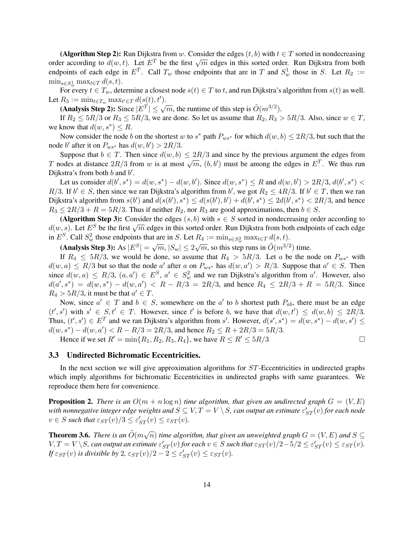(Algorithm Step 2): Run Dijkstra from w. Consider the edges  $(t, b)$  with  $t \in T$  sorted in nondecreasing (**Algorithm Step 2).** Nan Dijkstra from w. Consider the edges  $(v, v)$  with  $v \in T$  sorted in hondecreasing order according to  $d(w, t)$ . Let  $E^T$  be the first  $\sqrt{m}$  edges in this sorted order. Run Dijkstra from both endpoints of each edge in  $E^T$ . Call  $T_w$  those endpoints that are in T and  $S_w^1$  those in S. Let  $R_2 :=$  $\min_{s \in S_w^1} \max_{t \in T} d(s, t).$ 

For every  $t \in T_w$ , determine a closest node  $s(t) \in T$  to t, and run Dijkstra's algorithm from  $s(t)$  as well. Let  $R_3 := \min_{t \in T_w} \max_{t' \in T} d(s(t), t').$ 

 $\lim_{\epsilon \to 0} \lim_{z \to 0} \lim_{z \to z} \lim_{\epsilon \to 0} \epsilon_z = E^T |z| \leq \sqrt{m}$ , the runtime of this step is  $\tilde{O}(m^{3/2})$ .

If  $R_2 \leq 5R/3$  or  $R_3 \leq 5R/3$ , we are done. So let us assume that  $R_2, R_3 > 5R/3$ . Also, since  $w \in T$ , we know that  $d(w, s^*) \leq R$ .

Now consider the node b on the shortest w to  $s^*$  path  $P_{ws^*}$  for which  $d(w, b) \leq 2R/3$ , but such that the node b' after it on  $P_{ws^*}$  has  $d(w, b') > 2R/3$ .

Suppose that  $b \in T$ . Then since  $d(w, b) \leq 2R/3$  and since by the previous argument the edges from Suppose that  $v \in T$ . Then since  $u(w, v) \le 2\pi/3$  and since by the previous argument the edges from<br>T nodes at distance  $2R/3$  from w is at most  $\sqrt{m}$ ,  $(b, b')$  must be among the edges in  $E^T$ . We thus run Dijkstra's from both  $b$  and  $b'$ .

Let us consider  $d(b', s^*) = d(w, s^*) - d(w, b')$ . Since  $d(w, s^*) \le R$  and  $d(w, b') > 2R/3$ ,  $d(b', s^*) <$  $R/3$ . If  $b' \in S$ , then since we ran Dijkstra's algorithm from b', we got  $R_2 \leq 4R/3$ . If  $b' \in T$ , then we ran Dijkstra's algorithm from  $s(b')$  and  $d(s(b'), s^*) \leq d(s(b'), b') + d(b', s^*) \leq 2d(b', s^*) < 2R/3$ , and hence  $R_3 \leq 2R/3 + R = 5R/3$ . Thus if neither  $R_2$ , nor  $R_3$  are good approximations, then  $b \in S$ .

(Algorithm Step 3): Consider the edges  $(s, b)$  with  $s \in S$  sorted in nondecreasing order according to (**Algorithm step 5).** Consider the edges (*s*, *b*) with  $s \in B$  sorted in hondecreasing order according to  $d(w, s)$ . Let  $E^S$  be the first  $\sqrt{m}$  edges in this sorted order. Run Dijkstra from both endpoints of each edge in  $E^S$ . Call  $S^2_w$  those endpoints that are in S. Let  $R_4 := \min_{s \in S^2_w} \max_{t \in T} d(s, t)$ .

(Analysis Step 3): As  $|E^S| = \sqrt{m}$ ,  $|S_w| \le 2\sqrt{m}$ , so this step runs in  $\tilde{O}(m^{3/2})$  time.

If  $R_4 \leq 5R/3$ , we would be done, so assume that  $R_4 > 5R/3$ . Let a be the node on  $P_{ws^*}$  with  $d(w, a) \le R/3$  but so that the node a' after a on  $P_{ws^*}$  has  $d(w, a') > R/3$ . Suppose that  $a' \in S$ . Then since  $d(w, a) \le R/3$ ,  $(a, a') \in E^S$ ,  $a' \in S_w^2$  and we ran Dijkstra's algorithm from a'. However, also  $d(a', s^*) = d(w, s^*) - d(w, a') < R - R/3 = 2R/3$ , and hence  $R_4 \leq 2R/3 + R = 5R/3$ . Since  $R_4 > 5R/3$ , it must be that  $a' \in T$ .

Now, since  $a' \in T$  and  $b \in S$ , somewhere on the  $a'$  to b shortest path  $P_{ab}$ , there must be an edge  $(t', s')$  with  $s' \in S, t' \in T$ . However, since t' is before b, we have that  $d(w, t') \leq d(w, b) \leq 2R/3$ . Thus,  $(t', s') \in E^T$  and we ran Dijkstra's algorithm from s'. However,  $d(s', s^*) = d(w, s^*) - d(w, s') \leq$  $d(w, s^*) - d(w, a') < R - R/3 = 2R/3$ , and hence  $R_2 \le R + 2R/3 = 5R/3$ .

Hence if we set  $R' = \min\{R_1, R_2, R_3, R_4\}$ , we have  $R \le R' \le 5R/3$ 

# 3.3 Undirected Bichromatic Eccentricities.

In the next section we will give approximation algorithms for  $ST$ -Eccentricities in undirected graphs which imply algorithms for bichromatic Eccentricities in undirected graphs with same guarantees. We reproduce them here for convenience.

**Proposition 2.** *There is an*  $O(m + n \log n)$  *time algorithm, that given an undirected graph*  $G = (V, E)$ with nonnegative integer edge weights and  $S \subseteq V, T = V \setminus S,$  can output an estimate  $\varepsilon'_{ST}(v)$  for each node  $v \in S$  such that  $\varepsilon_{ST}(v)/3 \leq \varepsilon'_{ST}(v) \leq \varepsilon_{ST}(v)$ .

**Theorem 3.6.** There is an  $\tilde{O}(m\sqrt{n})$  time algorithm, that given an unweighted graph  $G = (V, E)$  and  $S \subseteq$  $V, T = V \setminus S$ , can output an estimate  $\varepsilon'_{ST}(v)$  for each  $v \in S$  such that  $\varepsilon_{ST}(v)/2 - 5/2 \leq \varepsilon'_{ST}(v) \leq \varepsilon_{ST}(v)$ . *If*  $\varepsilon_{ST}(v)$  *is divisible by* 2*,*  $\varepsilon_{ST}(v)/2 - 2 \le \varepsilon'_{ST}(v) \le \varepsilon_{ST}(v)$ *.*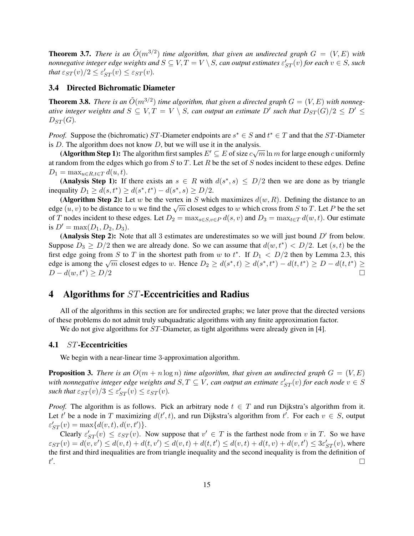**Theorem 3.7.** There is an  $\tilde{O}(m^{3/2})$  time algorithm, that given an undirected graph  $G = (V, E)$  with *nonnegative integer edge weights and*  $S \subseteq V, T = V \setminus S$ *, can output estimates*  $\varepsilon'_{ST}(v)$  *for each*  $v \in S$ *, such that*  $\varepsilon_{ST}(v)/2 \leq \varepsilon'_{ST}(v) \leq \varepsilon_{ST}(v)$ *.* 

# 3.4 Directed Bichromatic Diameter

**Theorem 3.8.** There is an  $\tilde{O}(m^{3/2})$  time algorithm, that given a directed graph  $G = (V, E)$  with nonneg*ative integer weights and*  $S \subseteq V, T = V \setminus S$ , can output an estimate  $D'$  such that  $D_{ST}(G)/2 \le D' \le$  $D_{ST}(G)$ .

*Proof.* Suppose the (bichromatic) ST-Diameter endpoints are  $s^* \in S$  and  $t^* \in T$  and that the ST-Diameter is D. The algorithm does not know D, but we will use it in the analysis.

(Algorithm Step 1): The algorithm first samples  $E' \subseteq E$  of size  $c\sqrt{m} \ln m$  for large enough c uniformly at random from the edges which go from  $S$  to  $T$ . Let  $R$  be the set of  $S$  nodes incident to these edges. Define  $D_1 = \max_{u \in R, t \in T} d(u, t).$ 

(Analysis Step 1): If there exists an  $s \in R$  with  $d(s^*, s) \leq D/2$  then we are done as by triangle inequality  $D_1 \ge d(s, t^*) \ge d(s^*, t^*) - d(s^*, s) \ge D/2$ .

(Algorithm Step 2): Let w be the vertex in S which maximizes  $d(w, R)$ . Defining the distance to an (Algorithm step 2). Let w be the vertex in B which maximizes  $u(w, n)$ . Defining the distance to an edge  $(u, v)$  to be distance to u we find the  $\sqrt{m}$  closest edges to w which cross from S to T. Let P be the set of T nodes incident to these edges. Let  $D_2 = \max_{s \in S, v \in P} d(s, v)$  and  $D_3 = \max_{t \in T} d(w, t)$ . Our estimate is  $D' = \max(D_1, D_2, D_3)$ .

(Analysis Step 2): Note that all 3 estimates are underestimates so we will just bound  $D'$  from below. Suppose  $D_3 \ge D/2$  then we are already done. So we can assume that  $d(w, t^*) < D/2$ . Let  $(s, t)$  be the first edge going from S to T in the shortest path from w to  $t^*$ . If  $D_1 < D/2$  then by Lemma 2.3, this this edge going from 5 to 1 in the shortest path from w to t. If  $D_1 < D/2$  then by Lemma 2.5, this edge is among the  $\sqrt{m}$  closest edges to w. Hence  $D_2 \ge d(s^*, t) \ge d(s^*, t^*) - d(t, t^*) \ge D - d(t, t^*) \ge$  $D - d(w, t^*) > D/2$  $)\geq D/2$ 

# 4 Algorithms for ST-Eccentricities and Radius

All of the algorithms in this section are for undirected graphs; we later prove that the directed versions of these problems do not admit truly subquadratic algorithms with any finite approximation factor.

We do not give algorithms for *ST*-Diameter, as tight algorithms were already given in [4].

# 4.1 ST-Eccentricities

We begin with a near-linear time 3-approximation algorithm.

**Proposition 3.** *There is an*  $O(m + n \log n)$  *time algorithm, that given an undirected graph*  $G = (V, E)$ with nonnegative integer edge weights and  $S,T\subseteq V$ , can output an estimate  $\varepsilon'_{ST}(v)$  for each node  $v\in S$ such that  $\varepsilon_{ST}(v)/3 \leq \varepsilon'_{ST}(v) \leq \varepsilon_{ST}(v)$ .

*Proof.* The algorithm is as follows. Pick an arbitrary node  $t \in T$  and run Dijkstra's algorithm from it. Let t' be a node in T maximizing  $d(t', t)$ , and run Dijkstra's algorithm from t'. For each  $v \in S$ , output  $\varepsilon'_{ST}(v) = \max\{d(v,t), d(v,t')\}.$ 

Clearly  $\varepsilon'_{ST}(v) \leq \varepsilon_{ST}(v)$ . Now suppose that  $v' \in T$  is the farthest node from v in T. So we have  $\varepsilon_{ST}(v) = d(v, v') \le d(v, t) + d(t, v') \le d(v, t) + d(t, t') \le d(v, t) + d(t, v) + d(v, t') \le 3\varepsilon'_{ST}(v)$ , where the first and third inequalities are from triangle inequality and the second inequality is from the definition of  $t'$ .<br>1990 - Paul Barbara, politikar eta aldera eta biztanleria eta aldera eta aldera eta aldera eta aldera eta ald<br>1990 - Paul Barbara, profesora eta aldera eta aldera eta aldera eta aldera eta aldera eta aldera eta aldera e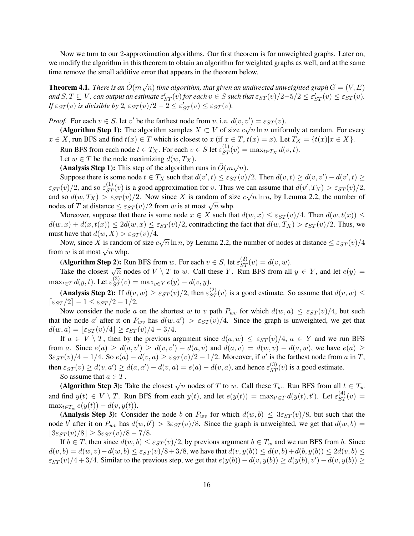Now we turn to our 2-approximation algorithms. Our first theorem is for unweighted graphs. Later on, we modify the algorithm in this theorem to obtain an algorithm for weighted graphs as well, and at the same time remove the small additive error that appears in the theorem below.

**Theorem 4.1.** There is an  $\tilde{O}(m\sqrt{n})$  time algorithm, that given an undirected unweighted graph  $G=(V,E)$ and  $S, T \subseteq V$ , can output an estimate  $\varepsilon'_{ST}(v)$  for each  $v \in S$  such that  $\varepsilon_{ST}(v)/2 - 5/2 \leq \varepsilon'_{ST}(v) \leq \varepsilon_{ST}(v)$ . *If*  $\varepsilon_{ST}(v)$  *is divisible by* 2*,*  $\varepsilon_{ST}(v)/2 - 2 \leq \varepsilon'_{ST}(v) \leq \varepsilon_{ST}(v)$ *.* 

*Proof.* For each  $v \in S$ , let  $v'$  be the farthest node from v, i.e.  $d(v, v') = \varepsilon_{ST}(v)$ .

(Algorithm Step 1): The algorithm samples  $X \subset V$  of size  $c\sqrt{n} \ln n$  uniformly at random. For every  $x \in X$ , run BFS and find  $t(x) \in T$  which is closest to  $x$  (if  $x \in T$ ,  $t(x) = x$ ). Let  $T_X = \{t(x) | x \in X\}$ .

Run BFS from each node  $t \in T_X$ . For each  $v \in S$  let  $\varepsilon_{ST}^{(1)}(v) = \max_{t \in T_X} d(v, t)$ .

Let  $w \in T$  be the node maximizing  $d(w, T_X)$ .

**(Analysis Step 1):** This step of the algorithm runs in  $\tilde{O}(m\sqrt{n})$ .

Suppose there is some node  $t \in T_X$  such that  $d(v', t) \leq \varepsilon_{ST}(v)/2$ . Then  $d(v, t) \geq d(v, v') - d(v', t) \geq$  $\varepsilon_{ST}(v)/2$ , and so  $\varepsilon_{ST}^{(1)}(v)$  is a good approximation for v. Thus we can assume that  $d(v', T_X) > \varepsilon_{ST}(v)/2$ , and so  $d(w, T_X) > \varepsilon_{ST}(v)/2$ . Now since X is random of size  $c\sqrt{n} \ln n$ , by Lemma 2.2, the number of and so  $u(w, I_X) > \varepsilon ST(v)/2$ . Now since  $\overline{X}$  is fainted in order since  $\overline{X}$  at distance  $\leq \varepsilon ST(v)/2$  from w is at most  $\sqrt{n}$  whp.

Moreover, suppose that there is some node  $x \in X$  such that  $d(w, x) \leq \varepsilon_{ST}(v)/4$ . Then  $d(w, t(x)) \leq$  $d(w, x) + d(x, t(x)) \leq 2d(w, x) \leq \varepsilon_{ST}(v)/2$ , contradicting the fact that  $d(w, T_X) > \varepsilon_{ST}(v)/2$ . Thus, we must have that  $d(w, X) > \varepsilon_{ST}(v)/4$ .

Now, since X is random of size  $c\sqrt{n} \ln n$ , by Lemma 2.2, the number of nodes at distance  $\leq \varepsilon_{ST}(v)/4$ . From w is at most  $\sqrt{n}$  whp.

(Algorithm Step 2): Run BFS from w. For each  $v \in S$ , let  $\varepsilon_{ST}^{(2)}(v) = d(v, w)$ .

Take the closest  $\sqrt{n}$  nodes of  $V \setminus T$  to w. Call these Y. Run BFS from all  $y \in Y$ , and let  $e(y) =$  $\max_{t \in T} d(y, t)$ . Let  $\varepsilon_{ST}^{(3)}(v) = \max_{y \in Y} e(y) - d(v, y)$ .

(Analysis Step 2): If  $d(v, w) \geq \varepsilon_{ST}(v)/2$ , then  $\varepsilon_{ST}^{(2)}(v)$  is a good estimate. So assume that  $d(v, w) \leq$  $\lceil \varepsilon_{ST} / 2 \rceil - 1 \leq \varepsilon_{ST} / 2 - 1 / 2.$ 

Now consider the node a on the shortest w to v path  $P_{wv}$  for which  $d(w, a) \leq \varepsilon_{ST}(v)/4$ , but such that the node a' after it on  $P_{wv}$  has  $d(w, a') > \varepsilon_{ST}(v)/4$ . Since the graph is unweighted, we get that  $d(w, a) = \frac{\varepsilon_{ST}(v)}{4} \geq \varepsilon_{ST}(v) / 4 - 3/4.$ 

If  $a \in V \setminus T$ , then by the previous argument since  $d(a, w) \leq \varepsilon_{ST}(v)/4$ ,  $a \in Y$  and we run BFS from a. Since  $e(a) \ge d(a, v') \ge d(v, v') - d(a, v)$  and  $d(a, v) = d(w, v) - d(a, w)$ , we have  $e(a) \ge d(w, v') - d(a, w)$  $3\varepsilon_{ST}(v)/4 - 1/4$ . So  $e(a) - d(v, a) \geq \varepsilon_{ST}(v)/2 - 1/2$ . Moreover, if a' is the farthest node from a in T, then  $\varepsilon_{ST}(v) \ge d(v, a') \ge d(a, a') - d(v, a) = e(a) - d(v, a)$ , and hence  $\varepsilon_{ST}^{(3)}(v)$  is a good estimate. So assume that  $a \in T$ .

(Algorithm Step 3): Take the closest  $\sqrt{n}$  nodes of T to w. Call these  $T_w$ . Run BFS from all  $t \in T_w$ . and find  $y(t) \in V \setminus T$ . Run BFS from each  $y(t)$ , and let  $e(y(t)) = \max_{t' \in T} d(y(t), t')$ . Let  $\varepsilon_{ST}^{(4)}(v) =$  $\max_{t \in T_w} e(y(t)) - d(v, y(t)).$ 

(Analysis Step 3): Consider the node b on  $P_{wv}$  for which  $d(w, b) \leq 3\varepsilon_{ST}(v)/8$ , but such that the node b' after it on  $P_{wv}$  has  $d(w, b') > 3\varepsilon_{ST}(v)/8$ . Since the graph is unweighted, we get that  $d(w, b) =$  $|3\varepsilon_{ST}(v)/8| \geq 3\varepsilon_{ST}(v)/8-7/8.$ 

If  $b \in T$ , then since  $d(w, b) \leq \varepsilon_{ST}(v)/2$ , by previous argument  $b \in T_w$  and we run BFS from b. Since  $d(v, b) = d(w, v) - d(w, b) \leq \varepsilon_{ST}(v)/8 + 3/8$ , we have that  $d(v, y(b)) \leq d(v, b) + d(b, y(b)) \leq 2d(v, b) \leq$  $\varepsilon_{ST}(v)/4+3/4$ . Similar to the previous step, we get that  $e(y(b)) - d(v, y(b)) \ge d(y(b), v') - d(v, y(b)) \ge$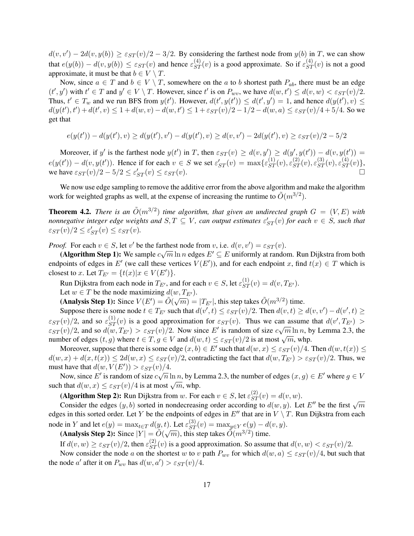$d(v, v') - 2d(v, y(b)) \geq \varepsilon_{ST}(v)/2 - 3/2$ . By considering the farthest node from  $y(b)$  in T, we can show that  $e(y(b)) - d(v, y(b)) \le \varepsilon_{ST}(v)$  and hence  $\varepsilon_{ST}^{(4)}(v)$  is a good approximate. So if  $\varepsilon_{ST}^{(4)}(v)$  is not a good approximate, it must be that  $b \in V \setminus T$ .

Now, since  $a \in T$  and  $b \in V \setminus T$ , somewhere on the a to b shortest path  $P_{ab}$ , there must be an edge  $(t', y')$  with  $t' \in T$  and  $y' \in V \setminus T$ . However, since t' is on  $P_{wv}$ , we have  $d(w, t') \leq d(v, w) < \varepsilon_{ST}(v)/2$ . Thus,  $t' \in T_w$  and we run BFS from  $y(t')$ . However,  $d(t', y(t')) \leq d(t', y') = 1$ , and hence  $d(y(t'), v) \leq$  $d(y(t'), t') + d(t', v) \leq 1 + d(w, v) - d(w, t') \leq 1 + \varepsilon_{ST}(v)/2 - 1/2 - d(w, a) \leq \varepsilon_{ST}(v)/4 + 5/4$ . So we get that

$$
e(y(t')) - d(y(t'), v) \ge d(y(t'), v') - d(y(t'), v) \ge d(v, v') - 2d(y(t'), v) \ge \varepsilon_{ST}(v)/2 - 5/2
$$

Moreover, if y' is the farthest node  $y(t')$  in T, then  $\varepsilon_{ST}(v) \ge d(v, y') \ge d(y', y(t')) - d(v, y(t')) =$  $e(y(t')) - d(v, y(t'))$ . Hence if for each  $v \in S$  we set  $\varepsilon'_{ST}(v) = \max\{\varepsilon_{ST}^{(1)}(v), \varepsilon_{ST}^{(2)}(v), \varepsilon_{ST}^{(3)}(v), \varepsilon_{ST}^{(4)}(v)\},\$ we have  $\varepsilon_{ST}(v)/2 - 5/2 \leq \varepsilon'$  $S_T(v) \leq \varepsilon_{ST}(v).$ 

We now use edge sampling to remove the additive error from the above algorithm and make the algorithm work for weighted graphs as well, at the expense of increasing the runtime to  $\tilde{O}(m^{3/2})$ .

**Theorem 4.2.** There is an  $\tilde{O}(m^{3/2})$  time algorithm, that given an undirected graph  $G = (V, E)$  with *nonnegative integer edge weights and*  $S, T \subseteq V$ *, can output estimates*  $\varepsilon'_{ST}(v)$  *for each*  $v \in S$ *, such that*  $\varepsilon_{ST}(v)/2 \leq \varepsilon'_{ST}(v) \leq \varepsilon_{ST}(v).$ 

*Proof.* For each  $v \in S$ , let  $v'$  be the farthest node from v, i.e.  $d(v, v') = \varepsilon_{ST}(v)$ .

(Algorithm Step 1): We sample  $c\sqrt{m} \ln n$  edges  $E' \subseteq E$  uniformly at random. Run Dijkstra from both endpoints of edges in E' (we call these vertices  $V(E')$ ), and for each endpoint x, find  $t(x) \in T$  which is closest to x. Let  $T_{E'} = \{t(x)|x \in V(E')\}.$ 

Run Dijkstra from each node in  $T_{E'}$ , and for each  $v \in S$ , let  $\varepsilon_{ST}^{(1)}(v) = d(v, T_{E'})$ .

Let  $w \in T$  be the node maximizing  $d(w, T_{E}).$ 

Let  $w \in I$  be the node maximizing  $a(w, I_{E})$ .<br>
(Analysis Step 1): Since  $V(E') = \tilde{O}(\sqrt{m}) = |T_{E'}|$ , this step takes  $\tilde{O}(m^{3/2})$  time.

Suppose there is some node  $t \in T_{E'}$  such that  $d(v', t) \leq \varepsilon_{ST}(v)/2$ . Then  $d(v, t) \geq d(v, v') - d(v', t) \geq$  $\varepsilon_{ST}(v)/2$ , and so  $\varepsilon_{ST}^{(1)}(v)$  is a good approximation for  $\varepsilon_{ST}(v)$ . Thus we can assume that  $d(v', T_{E'}) >$  $\varepsilon_{ST}(v)/2$ , and so  $d(w,T_{E'}) > \varepsilon_{ST}(v)/2$ . Now since E' is random of size  $c\sqrt{m}\ln n$ , by Lemma 2.3, the number of edges  $(t, g)$  where  $t \in T, g \in V$  and  $d(w, t) \leq \varepsilon_{ST}(v)/2$  is at most  $\sqrt{m}$ , whp.

Moreover, suppose that there is some edge  $(x, b) \in E'$  such that  $d(w, x) \leq \varepsilon_{ST}(v)/4$ . Then  $d(w, t(x)) \leq$  $d(w, x) + d(x, t(x)) \leq 2d(w, x) \leq \varepsilon_{ST}(v)/2$ , contradicting the fact that  $d(w, T_{E'}) > \varepsilon_{ST}(v)/2$ . Thus, we must have that  $d(w, V(E')) > \varepsilon_{ST}(v)/4$ .

Now, since E' is random of size  $c\sqrt{n} \ln n$ , by Lemma 2.3, the number of edges  $(x, g) \in E'$  where  $g \in V$ such that  $d(w, x) \leq \varepsilon_{ST}(v)/4$  is at most  $\sqrt{m}$ , whp.

(Algorithm Step 2): Run Dijkstra from w. For each  $v \in S$ , let  $\varepsilon_{ST}^{(2)}(v) = d(v, w)$ .

Consider the edges  $(y, b)$  sorted in nondecreasing order according to  $d(w, y)$ . Let E'' be the first  $\sqrt{m}$ edges in this sorted order. Let Y be the endpoints of edges in  $E''$  that are in  $V \setminus T$ . Run Dijkstra from each node in Y and let  $e(y) = \max_{t \in T} d(y, t)$ . Let  $\varepsilon_{ST}^{(3)}(v) = \max_{y \in Y} e(y) - d(v, y)$ .

E in T and let  $e(y) = \max_{t \in T} a(y, t)$ . Let  $\varepsilon_{ST}(v) = \max_{y \in Y} e(y) = a(v)$ <br>(Analysis Step 2): Since  $|Y| = \tilde{O}(\sqrt{m})$ , this step takes  $\tilde{O}(m^{3/2})$  time.

If  $d(v, w) \geq \varepsilon_{ST}(v)/2$ , then  $\varepsilon_{ST}^{(2)}(v)$  is a good approximation. So assume that  $d(v, w) < \varepsilon_{ST}(v)/2$ .

Now consider the node a on the shortest w to v path  $P_{wv}$  for which  $d(w, a) \leq \varepsilon_{ST}(v)/4$ , but such that the node *a'* after it on  $P_{wv}$  has  $d(w, a') > \varepsilon_{ST}(v)/4$ .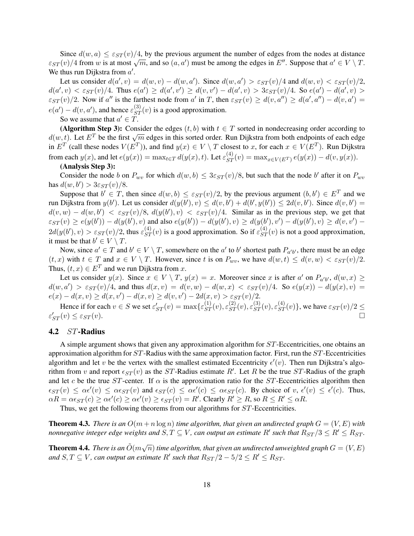Since  $d(w, a) \leq \varepsilon_{ST}(v)/4$ , by the previous argument the number of edges from the nodes at distance Since  $a(w, a) \leq \varepsilon ST(v)/4$ , by the previous argument the number of edges from the hodes at distance  $\varepsilon_{ST}(v)/4$  from w is at most  $\sqrt{m}$ , and so  $(a, a')$  must be among the edges in  $E''$ . Suppose that  $a' \in V \setminus T$ . We thus run Dijkstra from  $a'$ .

Let us consider  $d(a', v) = d(w, v) - d(w, a')$ . Since  $d(w, a') > \varepsilon_{ST}(v)/4$  and  $d(w, v) < \varepsilon_{ST}(v)/2$ ,  $d(a', v) < \varepsilon_{ST}(v)/4$ . Thus  $e(a') \geq d(a', v') \geq d(v, v') - d(a', v) > 3\varepsilon_{ST}(v)/4$ . So  $e(a') - d(a', v) >$  $\varepsilon_{ST}(v)/2$ . Now if a'' is the farthest node from a' in T, then  $\varepsilon_{ST}(v) \ge d(v, a'') \ge d(a', a'') - d(v, a') =$  $e(a') - d(v, a')$ , and hence  $\varepsilon_{ST}^{(3)}(v)$  is a good approximation.

So we assume that  $a' \in \tilde{T}$ .

(Algorithm Step 3): Consider the edges  $(t, b)$  with  $t \in T$  sorted in nondecreasing order according to (**Algorithm step 5).** Consider the edges  $(v, v)$  with  $v \in T$  sorted in honderleasing order according to  $d(w, t)$ . Let  $E^T$  be the first  $\sqrt{m}$  edges in this sorted order. Run Dijkstra from both endpoints of each edge in  $E^T$  (call these nodes  $V(E^T)$ ), and find  $y(x) \in V \setminus T$  closest to x, for each  $x \in V(E^T)$ . Run Dijkstra from each  $y(x)$ , and let  $e(y(x)) = \max_{t \in T} d(y(x), t)$ . Let  $\varepsilon_{ST}^{(4)}(v) = \max_{x \in V(E^T)} e(y(x)) - d(v, y(x))$ .

# (Analysis Step 3):

Consider the node b on  $P_{wv}$  for which  $d(w, b) \leq 3\varepsilon_{ST}(v)/8$ , but such that the node b' after it on  $P_{wv}$ has  $d(w, b') > 3\varepsilon_{ST}(v)/8$ .

Suppose that  $b' \in T$ , then since  $d(w, b) \leq \varepsilon_{ST}(v)/2$ , by the previous argument  $(b, b') \in E^T$  and we run Dijkstra from  $y(b')$ . Let us consider  $d(y(b'), v) \leq d(v, b') + d(b', y(b')) \leq 2d(v, b')$ . Since  $d(v, b') =$  $d(v, w) - d(w, b') < \varepsilon_{ST}(v)/8$ ,  $d(y(b'), v) < \varepsilon_{ST}(v)/4$ . Similar as in the previous step, we get that  $\varepsilon_{ST}(v) \ge e(y(b')) - d(y(b'), v)$  and also  $e(y(b')) - d(y(b'), v) \ge d(y(b'), v') - d(y(b'), v) \ge d(v, v') - d(v, v)$  $2d(y(b'),v) > \varepsilon_{ST}(v)/2$ , thus  $\varepsilon_{ST}^{(4)}(v)$  is a good approximation. So if  $\varepsilon_{ST}^{(4)}(v)$  is not a good approximation, it must be that  $b' \in V \setminus T$ .

Now, since  $a' \in T$  and  $b' \in V \setminus T$ , somewhere on the  $a'$  to  $b'$  shortest path  $P_{a'b'}$ , there must be an edge  $(t, x)$  with  $t \in T$  and  $x \in V \setminus T$ . However, since t is on  $P_{wv}$ , we have  $d(w, t) \leq d(v, w) < \varepsilon_{ST}(v)/2$ . Thus,  $(t, x) \in E^T$  and we run Dijkstra from x.

Let us consider  $y(x)$ . Since  $x \in V \setminus T$ ,  $y(x) = x$ . Moreover since x is after a' on  $P_{a'b'}$ ,  $d(w, x) \ge$  $d(w, a') > \varepsilon_{ST}(v)/4$ , and thus  $d(x, v) = d(v, w) - d(w, x) < \varepsilon_{ST}(v)/4$ . So  $e(y(x)) - d(y(x), v) =$  $e(x) - d(x, v) \ge d(x, v') - d(x, v) \ge d(v, v') - 2d(x, v) > \varepsilon_{ST}(v)/2.$ 

Hence if for each  $v \in S$  we set  $\varepsilon'_{ST}(v) = \max\{\varepsilon_{ST}^{(1)}(v), \varepsilon_{ST}^{(2)}(v), \varepsilon_{ST}^{(3)}(v), \varepsilon_{ST}^{(4)}(v)\}\)$ , we have  $\varepsilon_{ST}(v)/2 \leq \varepsilon_{ST}(S)$  $\varepsilon'_{ST}(v) \leq \varepsilon_{ST}(v).$ 

# 4.2 ST-Radius

A simple argument shows that given any approximation algorithm for ST-Eccentricities, one obtains an approximation algorithm for  $ST$ -Radius with the same approximation factor. First, run the  $ST$ -Eccentricities algorithm and let v be the vertex with the smallest estimated Eccentricity  $\epsilon'(v)$ . Then run Dijkstra's algorithm from v and report  $\epsilon_{ST}(v)$  as the ST-Radius estimate R'. Let R be the true ST-Radius of the graph and let c be the true ST-center. If  $\alpha$  is the approximation ratio for the ST-Eccentricities algorithm then  $\epsilon_{ST}(v) \leq \alpha \epsilon'(v) \leq \alpha \epsilon_{ST}(v)$  and  $\epsilon_{ST}(c) \leq \alpha \epsilon'(c) \leq \alpha \epsilon_{ST}(c)$ . By choice of  $v, \epsilon'(v) \leq \epsilon'(c)$ . Thus,  $\alpha R = \alpha \epsilon_{ST}(c) \geq \alpha \epsilon'(c) \geq \alpha \epsilon'(v) \geq \epsilon_{ST}(v) = R'$ . Clearly  $R' \geq R$ , so  $R \leq R' \leq \alpha R$ .

Thus, we get the following theorems from our algorithms for ST-Eccentricities.

**Theorem 4.3.** *There is an*  $O(m + n \log n)$  *time algorithm, that given an undirected graph*  $G = (V, E)$  *with nonnegative integer edge weights and*  $S,T\subseteq V$ *, can output an estimate*  $R'$  *such that*  $R_{ST}/3\leq R'\leq R_{ST}$ *.* 

**Theorem 4.4.** There is an  $\tilde{O}(m\sqrt{n})$  time algorithm, that given an undirected unweighted graph  $G = (V, E)$ and  $S, T \subseteq V$ , can output an estimate  $R'$  such that  $R_{ST}/2 - 5/2 \leq R' \leq R_{ST}$ .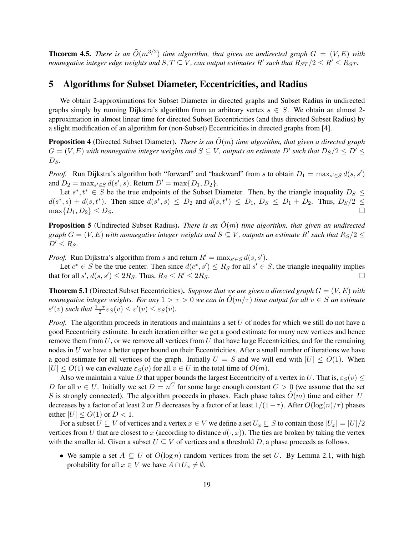**Theorem 4.5.** *There is an*  $\tilde{O}(m^{3/2})$  *time algorithm, that given an undirected graph*  $G = (V, E)$  *with nonnegative integer edge weights and*  $S, T \subseteq V$ *, can output estimates*  $R'$  *such that*  $R_{ST}/2 \leq R' \leq R_{ST}$ *.* 

# 5 Algorithms for Subset Diameter, Eccentricities, and Radius

We obtain 2-approximations for Subset Diameter in directed graphs and Subset Radius in undirected graphs simply by running Dijkstra's algorithm from an arbitrary vertex  $s \in S$ . We obtain an almost 2approximation in almost linear time for directed Subset Eccentricities (and thus directed Subset Radius) by a slight modification of an algorithm for (non-Subset) Eccentricities in directed graphs from [4].

**Proposition 4** (Directed Subset Diameter). *There is an*  $\tilde{O}(m)$  *time algorithm, that given a directed graph*  $G=(V,E)$  with nonnegative integer weights and  $S\subseteq V$ , outputs an estimate  $D'$  such that  $D_S/2\leq D'\leq D'$  $D_S$ .

*Proof.* Run Dijkstra's algorithm both "forward" and "backward" from s to obtain  $D_1 = \max_{s' \in S} d(s, s')$ and  $D_2 = \max_{s' \in S} d(s', s)$ . Return  $D' = \max\{D_1, D_2\}$ .

Let  $s^*$ ,  $t^* \in S$  be the true endpoints of the Subset Diameter. Then, by the triangle inequality  $D_S \leq$  $d(s^*, s) + d(s, t^*)$ . Then since  $d(s^*, s) \leq D_2$  and  $d(s, t^*) \leq D_1$ ,  $D_S \leq D_1 + D_2$ . Thus,  $D_S/2 \leq$  $\max\{D_1, D_2\} \leq D_S.$ 

**Proposition 5** (Undirected Subset Radius). *There is an*  $\tilde{O}(m)$  *time algorithm, that given an undirected* graph  $G = (V, E)$  with nonnegative integer weights and  $S \subseteq V$ , outputs an estimate  $R'$  such that  $R_S/2 \leq 1$  $D' \leq R_S$ .

*Proof.* Run Dijkstra's algorithm from s and return  $R' = \max_{s' \in S} d(s, s')$ .

Let  $c^* \in S$  be the true center. Then since  $d(c^*, s') \leq R_S$  for all  $s' \in S$ , the triangle inequality implies that for all  $s', d(s, s') \leq 2R_S$ . Thus,  $R_S \leq R' \leq 2R_S$ .

Theorem 5.1 (Directed Subset Eccentricities). *Suppose that we are given a directed graph* G = (V, E) *with nonnegative integer weights. For any*  $1 > \tau > 0$  *we can in*  $\tilde{O}(m/\tau)$  *time output for all*  $v \in S$  *an estimate*  $\varepsilon'(v)$  such that  $\frac{1-\tau}{2}\varepsilon_S(v) \leq \varepsilon'(v) \leq \varepsilon_S(v)$ .

*Proof.* The algorithm proceeds in iterations and maintains a set U of nodes for which we still do not have a good Eccentricity estimate. In each iteration either we get a good estimate for many new vertices and hence remove them from  $U$ , or we remove all vertices from  $U$  that have large Eccentricities, and for the remaining nodes in  $U$  we have a better upper bound on their Eccentricities. After a small number of iterations we have a good estimate for all vertices of the graph. Initially  $U = S$  and we will end with  $|U| \le O(1)$ . When  $|U| \leq O(1)$  we can evaluate  $\varepsilon_S(v)$  for all  $v \in U$  in the total time of  $O(m)$ .

Also we maintain a value D that upper bounds the largest Eccentricity of a vertex in U. That is,  $\varepsilon_S(v)$   $\leq$ D for all  $v \in U$ . Initially we set  $D = n^C$  for some large enough constant  $C > 0$  (we assume that the set S is strongly connected). The algorithm proceeds in phases. Each phase takes  $\tilde{O}(m)$  time and either |U| decreases by a factor of at least 2 or D decreases by a factor of at least  $1/(1-\tau)$ . After  $O(\log(n)/\tau)$  phases either  $|U| \leq O(1)$  or  $D < 1$ .

For a subset  $U \subseteq V$  of vertices and a vertex  $x \in V$  we define a set  $U_x \subseteq S$  to contain those  $|U_x| = |U|/2$ vertices from U that are closest to x (according to distance  $d(\cdot, x)$ ). The ties are broken by taking the vertex with the smaller id. Given a subset  $U \subseteq V$  of vertices and a threshold D, a phase proceeds as follows.

• We sample a set  $A \subseteq U$  of  $O(\log n)$  random vertices from the set U. By Lemma 2.1, with high probability for all  $x \in V$  we have  $A \cap U_x \neq \emptyset$ .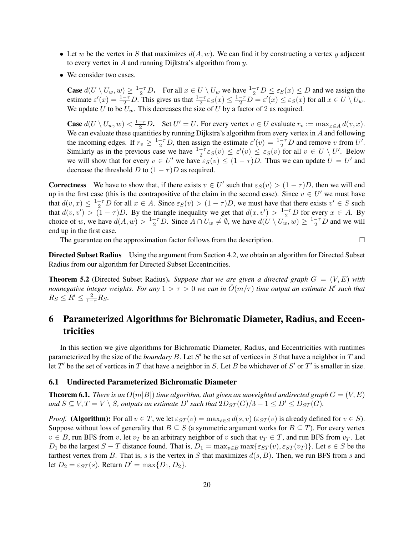- Let w be the vertex in S that maximizes  $d(A, w)$ . We can find it by constructing a vertex y adjacent to every vertex in  $A$  and running Dijkstra's algorithm from  $y$ .
- We consider two cases.

**Case**  $d(U \setminus U_w, w) \ge \frac{1-\tau}{2}D$ . For all  $x \in U \setminus U_w$  we have  $\frac{1-\tau}{2}D \le \varepsilon_S(x) \le D$  and we assign the estimate  $\varepsilon'(x) = \frac{1-\tau}{2}D$ . This gives us that  $\frac{1-\tau}{2}\varepsilon_S(x) \le \frac{1-\tau}{2}D = \varepsilon'(x) \le \varepsilon_S(x)$  for all  $x \in U \setminus U_w$ . We update U to be  $U_w$ . This decreases the size of U by a factor of 2 as required.

**Case**  $d(U \setminus U_w, w) < \frac{1-\tau}{2}D$ . Set  $U' = U$ . For every vertex  $v \in U$  evaluate  $r_v := \max_{x \in A} d(v, x)$ . We can evaluate these quantities by running Dijkstra's algorithm from every vertex in  $A$  and following the incoming edges. If  $r_v \geq \frac{1-\tau}{2}D$ , then assign the estimate  $\varepsilon'(v) = \frac{1-\tau}{2}D$  and remove v from U'. Similarly as in the previous case we have  $\frac{1-\tau}{2} \varepsilon_S(v) \leq \varepsilon'(v) \leq \varepsilon_S(v)$  for all  $v \in U \setminus U'$ . Below we will show that for every  $v \in U'$  we have  $\varepsilon_S(v) \leq (1 - \tau)D$ . Thus we can update  $U = U'$  and decrease the threshold D to  $(1 - \tau)D$  as required.

**Correctness** We have to show that, if there exists  $v \in U'$  such that  $\varepsilon_S(v) > (1 - \tau)D$ , then we will end up in the first case (this is the contrapositive of the claim in the second case). Since  $v \in U'$  we must have that  $d(v, x) \leq \frac{1-\tau}{2}D$  for all  $x \in A$ . Since  $\varepsilon_S(v) > (1-\tau)D$ , we must have that there exists  $v' \in S$  such that  $d(v, v') > (1 - \tau)D$ . By the triangle inequality we get that  $d(x, v') > \frac{1-\tau}{2}D$  for every  $x \in A$ . By choice of w, we have  $d(A, w) > \frac{1-\tau}{2}D$ . Since  $A \cap U_w \neq \emptyset$ , we have  $d(U \setminus U_w, w) \geq \frac{1-\tau}{2}D$  and we will end up in the first case.

The guarantee on the approximation factor follows from the description.  $\Box$ 

Directed Subset Radius Using the argument from Section 4.2, we obtain an algorithm for Directed Subset Radius from our algorithm for Directed Subset Eccentricities.

Theorem 5.2 (Directed Subset Radius). *Suppose that we are given a directed graph* G = (V, E) *with nonnegative integer weights. For any*  $1 > \tau > 0$  we can in  $\tilde{O}(m/\tau)$  *time output an estimate*  $R'$  *such that*  $R_S \leq R' \leq \frac{2}{1-\tau}R_S.$ 

# 6 Parameterized Algorithms for Bichromatic Diameter, Radius, and Eccentricities

In this section we give algorithms for Bichromatic Diameter, Radius, and Eccentricities with runtimes parameterized by the size of the *boundary*  $B$ . Let  $S'$  be the set of vertices in  $S$  that have a neighbor in  $T$  and let  $T'$  be the set of vertices in  $T$  that have a neighbor in  $S$ . Let  $B$  be whichever of  $S'$  or  $T'$  is smaller in size.

### 6.1 Undirected Parameterized Bichromatic Diameter

**Theorem 6.1.** *There is an*  $O(m|B|)$  *time algorithm, that given an unweighted undirected graph*  $G = (V, E)$ and  $S \subseteq V, T = V \setminus S$ , outputs an estimate D' such that  $2D_{ST}(G)/3 - 1 \le D' \le D_{ST}(G)$ .

*Proof.* (Algorithm): For all  $v \in T$ , we let  $\varepsilon_{ST}(v) = \max_{s \in S} d(s, v)$  ( $\varepsilon_{ST}(v)$  is already defined for  $v \in S$ ). Suppose without loss of generality that  $B \subseteq S$  (a symmetric argument works for  $B \subseteq T$ ). For every vertex  $v \in B$ , run BFS from v, let  $v_T$  be an arbitrary neighbor of v such that  $v_T \in T$ , and run BFS from  $v_T$ . Let D<sub>1</sub> be the largest  $S - T$  distance found. That is,  $D_1 = \max_{v \in B} \max\{\varepsilon_{ST}(v), \varepsilon_{ST}(v_T)\}\)$ . Let  $s \in S$  be the farthest vertex from B. That is, s is the vertex in S that maximizes  $d(s, B)$ . Then, we run BFS from s and let  $D_2 = \varepsilon_{ST}(s)$ . Return  $D' = \max\{D_1, D_2\}$ .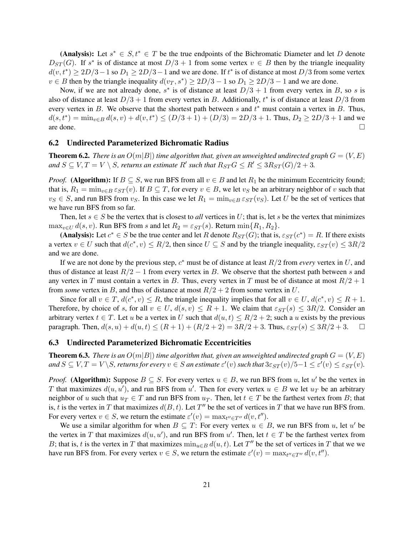(Analysis): Let  $s^* \in S, t^* \in T$  be the true endpoints of the Bichromatic Diameter and let D denote  $D_{ST}(G)$ . If s<sup>\*</sup> is of distance at most  $D/3 + 1$  from some vertex  $v \in B$  then by the triangle inequality  $d(v, t^*) \ge 2D/3 - 1$  so  $D_1 \ge 2D/3 - 1$  and we are done. If  $t^*$  is of distance at most  $D/3$  from some vertex  $v \in B$  then by the triangle inequality  $d(v_T, s^*) \ge 2D/3 - 1$  so  $D_1 \ge 2D/3 - 1$  and we are done.

Now, if we are not already done,  $s^*$  is of distance at least  $D/3 + 1$  from every vertex in B, so s is also of distance at least  $D/3 + 1$  from every vertex in B. Additionally,  $t^*$  is of distance at least  $D/3$  from every vertex in B. We observe that the shortest path between s and  $t^*$  must contain a vertex in B. Thus,  $d(s, t^*) = \min_{v \in B} d(s, v) + d(v, t^*) \le (D/3 + 1) + (D/3) = 2D/3 + 1$ . Thus,  $D_2 \ge 2D/3 + 1$  and we are done.  $\Box$ 

# 6.2 Undirected Parameterized Bichromatic Radius

**Theorem 6.2.** *There is an*  $O(m|B|)$  *time algorithm that, given an unweighted undirected graph*  $G = (V, E)$ and  $S \subseteq V, T = V \setminus S$ , returns an estimate R' such that  $R_{ST}G \le R' \le 3R_{ST}(G)/2 + 3$ .

*Proof.* (Algorithm): If  $B \subseteq S$ , we run BFS from all  $v \in B$  and let  $R_1$  be the minimum Eccentricity found; that is,  $R_1 = \min_{v \in B} \varepsilon_{ST}(v)$ . If  $B \subseteq T$ , for every  $v \in B$ , we let  $v_S$  be an arbitrary neighbor of v such that  $v_S \in S$ , and run BFS from  $v_S$ . In this case we let  $R_1 = \min_{v \in B} \varepsilon_{ST}(v_S)$ . Let U be the set of vertices that we have run BFS from so far.

Then, let  $s \in S$  be the vertex that is closest to *all* vertices in U; that is, let s be the vertex that minimizes  $\max_{v \in U} d(s, v)$ . Run BFS from s and let  $R_2 = \varepsilon_{ST}(s)$ . Return  $\min\{R_1, R_2\}$ .

(Analysis): Let  $c^* \in S$  be the true center and let R denote  $R_{ST}(G)$ ; that is,  $\varepsilon_{ST}(c^*) = R$ . If there exists a vertex  $v \in U$  such that  $d(c^*, v) \le R/2$ , then since  $U \subseteq S$  and by the triangle inequality,  $\varepsilon_{ST}(v) \le 3R/2$ and we are done.

If we are not done by the previous step,  $c^*$  must be of distance at least  $R/2$  from *every* vertex in U, and thus of distance at least  $R/2 - 1$  from every vertex in B. We observe that the shortest path between s and any vertex in T must contain a vertex in B. Thus, every vertex in T must be of distance at most  $R/2 + 1$ from *some* vertex in B, and thus of distance at most  $R/2 + 2$  from some vertex in U.

Since for all  $v \in T$ ,  $d(c^*, v) \le R$ , the triangle inequality implies that for all  $v \in U$ ,  $d(c^*, v) \le R + 1$ . Therefore, by choice of s, for all  $v \in U$ ,  $d(s, v) \le R + 1$ . We claim that  $\varepsilon_{ST}(s) \le 3R/2$ . Consider an arbitrary vertex  $t \in T$ . Let u be a vertex in U such that  $d(u, t) \le R/2 + 2$ ; such a u exists by the previous paragraph. Then,  $d(s, u) + d(u, t) \le (R + 1) + (R/2 + 2) = 3R/2 + 3$ . Thus,  $\varepsilon_{ST}(s) \le 3R/2 + 3$ .  $\square$ 

## 6.3 Undirected Parameterized Bichromatic Eccentricities

**Theorem 6.3.** *There is an*  $O(m|B|)$  *time algorithm that, given an unweighted undirected graph*  $G = (V, E)$ and  $S \subseteq V, T = V \setminus S$ , returns for every  $v \in S$  an estimate  $\varepsilon'(v)$  such that  $3\varepsilon_{ST}(v)/5 - 1 \leq \varepsilon'(v) \leq \varepsilon_{ST}(v)$ .

*Proof.* (Algorithm): Suppose  $B \subseteq S$ . For every vertex  $u \in B$ , we run BFS from u, let u' be the vertex in T that maximizes  $d(u, u')$ , and run BFS from u'. Then for every vertex  $u \in B$  we let  $u_T$  be an arbitrary neighbor of u such that  $u_T \in T$  and run BFS from  $u_T$ . Then, let  $t \in T$  be the farthest vertex from B; that is, t is the vertex in T that maximizes  $d(B, t)$ . Let T'' be the set of vertices in T that we have run BFS from. For every vertex  $v \in S$ , we return the estimate  $\varepsilon'(v) = \max_{t'' \in T''} d(v, t'')$ .

We use a similar algorithm for when  $B \subseteq T$ : For every vertex  $u \in B$ , we run BFS from u, let u' be the vertex in T that maximizes  $d(u, u')$ , and run BFS from u'. Then, let  $t \in T$  be the farthest vertex from B; that is, t is the vertex in T that maximizes  $\min_{u \in B} d(u, t)$ . Let T'' be the set of vertices in T that we we have run BFS from. For every vertex  $v \in S$ , we return the estimate  $\varepsilon'(v) = \max_{t'' \in T''} d(v, t'')$ .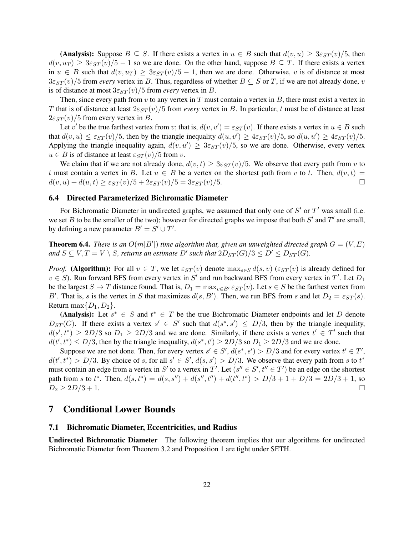(Analysis): Suppose  $B \subseteq S$ . If there exists a vertex in  $u \in B$  such that  $d(v, u) \geq 3\varepsilon_{ST}(v)/5$ , then  $d(v, u_T) \geq 3\varepsilon_{ST}(v)/5 - 1$  so we are done. On the other hand, suppose  $B \subseteq T$ . If there exists a vertex in  $u \in B$  such that  $d(v, u_T) \geq 3\varepsilon_{ST}(v)/5 - 1$ , then we are done. Otherwise, v is of distance at most  $3\varepsilon_{ST}(v)/5$  from *every* vertex in B. Thus, regardless of whether  $B \subseteq S$  or T, if we are not already done, v is of distance at most  $3\varepsilon_{ST}(v)/5$  from *every* vertex in B.

Then, since every path from  $v$  to any vertex in  $T$  must contain a vertex in  $B$ , there must exist a vertex in T that is of distance at least  $2\varepsilon_{ST}(v)/5$  from *every* vertex in B. In particular, t must be of distance at least  $2\varepsilon_{ST}(v)/5$  from every vertex in B.

Let v' be the true farthest vertex from v; that is,  $d(v, v') = \varepsilon_{ST}(v)$ . If there exists a vertex in  $u \in B$  such that  $d(v, u) \leq \varepsilon_{ST}(v)/5$ , then by the triangle inequality  $d(u, v') \geq 4\varepsilon_{ST}(v)/5$ , so  $d(u, u') \geq 4\varepsilon_{ST}(v)/5$ . Applying the triangle inequality again,  $d(v, u') \geq 3\varepsilon_{ST}(v)/5$ , so we are done. Otherwise, every vertex  $u \in B$  is of distance at least  $\varepsilon_{ST}(v)/5$  from v.

We claim that if we are not already done,  $d(v, t) \geq 3\varepsilon_{ST}(v)/5$ . We observe that every path from v to t must contain a vertex in B. Let  $u \in B$  be a vertex on the shortest path from v to t. Then,  $d(v,t)$  =  $d(v, u) + d(u, t) \geq \varepsilon_{ST}(v)/5 + 2\varepsilon_{ST}(v)/5 = 3\varepsilon_{ST}(v)/5.$ 

# 6.4 Directed Parameterized Bichromatic Diameter

For Bichromatic Diameter in undirected graphs, we assumed that only one of  $S'$  or  $T'$  was small (i.e. we set B to be the smaller of the two); however for directed graphs we impose that both  $S'$  and  $T'$  are small, by defining a new parameter  $B' = S' \cup T'$ .

**Theorem 6.4.** *There is an*  $O(m|B'|)$  *time algorithm that, given an unweighted directed graph*  $G = (V, E)$ and  $S \subseteq V, T = V \setminus S$ , returns an estimate  $D'$  such that  $2D_{ST}(G)/3 \le D' \le D_{ST}(G)$ .

*Proof.* (Algorithm): For all  $v \in T$ , we let  $\varepsilon_{ST}(v)$  denote  $\max_{s \in S} d(s, v)$  ( $\varepsilon_{ST}(v)$ ) is already defined for  $v \in S$ ). Run forward BFS from every vertex in S' and run backward BFS from every vertex in T'. Let  $D_1$ be the largest  $S \to T$  distance found. That is,  $D_1 = \max_{v \in B'} \varepsilon_{ST}(v)$ . Let  $s \in S$  be the farthest vertex from B'. That is, s is the vertex in S that maximizes  $d(s, B')$ . Then, we run BFS from s and let  $D_2 = \varepsilon_{ST}(s)$ . Return max $\{D_1, D_2\}$ .

(Analysis): Let  $s^* \in S$  and  $t^* \in T$  be the true Bichromatic Diameter endpoints and let D denote  $D_{ST}(G)$ . If there exists a vertex  $s' \in S'$  such that  $d(s^*, s') \leq D/3$ , then by the triangle inequality,  $d(s', t^*) \ge 2D/3$  so  $D_1 \ge 2D/3$  and we are done. Similarly, if there exists a vertex  $t' \in T'$  such that  $d(t', t^*) \leq D/3$ , then by the triangle inequality,  $d(s^*, t') \geq 2D/3$  so  $D_1 \geq 2D/3$  and we are done.

Suppose we are not done. Then, for every vertex  $s' \in S'$ ,  $d(s^*, s') > D/3$  and for every vertex  $t' \in T'$ ,  $d(t', t^*) > D/3$ . By choice of s, for all  $s' \in S'$ ,  $d(s, s') > D/3$ . We observe that every path from s to  $t^*$ must contain an edge from a vertex in S' to a vertex in T'. Let  $(s'' \in S', t'' \in T')$  be an edge on the shortest path from s to  $t^*$ . Then,  $d(s, t^*) = d(s, s'') + d(s'', t'') + d(t'', t^*) > D/3 + 1 + D/3 = 2D/3 + 1$ , so  $D_2 \geq 2D/3 + 1.$ 

# 7 Conditional Lower Bounds

# 7.1 Bichromatic Diameter, Eccentricities, and Radius

Undirected Bichromatic Diameter The following theorem implies that our algorithms for undirected Bichromatic Diameter from Theorem 3.2 and Proposition 1 are tight under SETH.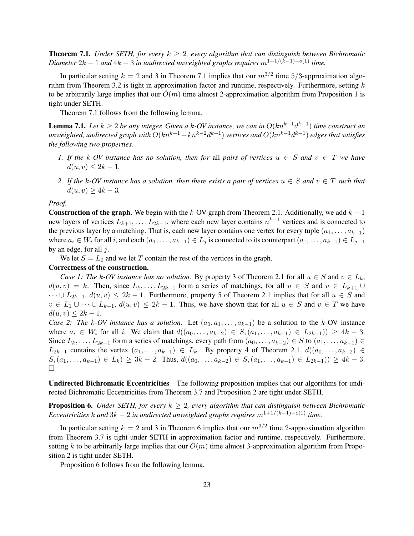**Theorem 7.1.** *Under SETH, for every*  $k \geq 2$ , every algorithm that can distinguish between Bichromatic *Diameter*  $2k - 1$  *and*  $4k - 3$  *in undirected unweighted graphs requires*  $m^{1+1/(k-1)-o(1)}$  *time.* 

In particular setting  $k = 2$  and 3 in Theorem 7.1 implies that our  $m^{3/2}$  time 5/3-approximation algorithm from Theorem 3.2 is tight in approximation factor and runtime, respectively. Furthermore, setting  $k$ to be arbitrarily large implies that our  $O(m)$  time almost 2-approximation algorithm from Proposition 1 is tight under SETH.

Theorem 7.1 follows from the following lemma.

**Lemma 7.1.** Let  $k \geq 2$  be any integer. Given a k-OV instance, we can in  $O(kn^{k-1}d^{k-1})$  time construct an *unweighted, undirected graph with O* $(kn^{k-1}+kn^{k-2}d^{k-1})$  *vertices and O* $(kn^{k-1}d^{k-1})$  *edges that satisfies the following two properties.*

- *1.* If the k-OV instance has no solution, then for all pairs of vertices  $u \in S$  and  $v \in T$  we have  $d(u, v) \leq 2k - 1.$
- *2.* If the k-OV instance has a solution, then there exists a pair of vertices  $u \in S$  and  $v \in T$  such that  $d(u, v) \geq 4k - 3.$

*Proof.*

Construction of the graph. We begin with the k-OV-graph from Theorem 2.1. Additionally, we add  $k - 1$ new layers of vertices  $L_{k+1}, \ldots, L_{2k-1}$ , where each new layer contains  $n^{k-1}$  vertices and is connected to the previous layer by a matching. That is, each new layer contains one vertex for every tuple  $(a_1, \ldots, a_{k-1})$ where  $a_i \in W_i$  for all i, and each  $(a_1, \ldots, a_{k-1}) \in L_j$  is connected to its counterpart  $(a_1, \ldots, a_{k-1}) \in L_{j-1}$ by an edge, for all  $j$ .

We let  $S = L_0$  and we let T contain the rest of the vertices in the graph.

#### Correctness of the construction.

*Case 1: The k-OV instance has no solution.* By property 3 of Theorem 2.1 for all  $u \in S$  and  $v \in L_k$ ,  $d(u, v) = k$ . Then, since  $L_k, \ldots, L_{2k-1}$  form a series of matchings, for all  $u \in S$  and  $v \in L_{k+1} \cup$  $\cdots \cup L_{2k-1}$ ,  $d(u, v) \leq 2k - 1$ . Furthermore, property 5 of Theorem 2.1 implies that for all  $u \in S$  and  $v \in L_1 \cup \cdots \cup L_{k-1}$ ,  $d(u, v) \leq 2k - 1$ . Thus, we have shown that for all  $u \in S$  and  $v \in T$  we have  $d(u, v) \leq 2k - 1.$ 

*Case 2: The k-OV instance has a solution.* Let  $(a_0, a_1, \ldots, a_{k-1})$  be a solution to the k-OV instance where  $a_i \in W_i$  for all i. We claim that  $d((a_0, \ldots, a_{k-2}) \in S, (a_1, \ldots, a_{k-1}) \in L_{2k-1}) \ge 4k-3$ . Since  $L_k, \ldots, L_{2k-1}$  form a series of matchings, every path from  $(a_0, \ldots, a_{k-2}) \in S$  to  $(a_1, \ldots, a_{k-1}) \in S$  $L_{2k-1}$  contains the vertex  $(a_1, \ldots, a_{k-1}) \in L_k$ . By property 4 of Theorem 2.1,  $d((a_0, \ldots, a_{k-2}) \in L_k)$  $S,(a_1,\ldots,a_{k-1})\in L_k) \geq 3k-2$ . Thus,  $d((a_0,\ldots,a_{k-2})\in S,(a_1,\ldots,a_{k-1})\in L_{2k-1})\geq 4k-3$ .  $\Box$ 

Undirected Bichromatic Eccentricities The following proposition implies that our algorithms for undirected Bichromatic Eccentricities from Theorem 3.7 and Proposition 2 are tight under SETH.

**Proposition 6.** *Under SETH, for every*  $k \geq 2$ , every algorithm that can distinguish between Bichromatic *Eccentricities* k and  $3k - 2$  *in undirected unweighted graphs requires*  $m^{1+1/(k-1)-o(1)}$  *time.* 

In particular setting  $k = 2$  and 3 in Theorem 6 implies that our  $m^{3/2}$  time 2-approximation algorithm from Theorem 3.7 is tight under SETH in approximation factor and runtime, respectively. Furthermore, setting k to be arbitrarily large implies that our  $O(m)$  time almost 3-approximation algorithm from Proposition 2 is tight under SETH.

Proposition 6 follows from the following lemma.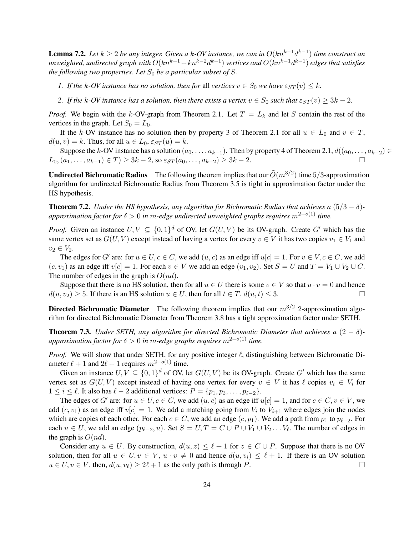**Lemma 7.2.** Let  $k \geq 2$  be any integer. Given a k-OV instance, we can in  $O(kn^{k-1}d^{k-1})$  time construct an *unweighted, undirected graph with O* $(kn^{k-1}+kn^{k-2}d^{k-1})$  *vertices and O* $(kn^{k-1}d^{k-1})$  *edges that satisfies the following two properties. Let*  $S_0$  *be a particular subset of*  $S$ *.* 

- *1. If the* k-OV instance has no solution, then for all vertices  $v \in S_0$  we have  $\varepsilon_{ST}(v) \leq k$ *.*
- *2. If the* k-OV instance has a solution, then there exists a vertex  $v \in S_0$  such that  $\varepsilon_{ST}(v) \geq 3k 2$ .

*Proof.* We begin with the k-OV-graph from Theorem 2.1. Let  $T = L_k$  and let S contain the rest of the vertices in the graph. Let  $S_0 = L_0$ .

If the k-OV instance has no solution then by property 3 of Theorem 2.1 for all  $u \in L_0$  and  $v \in T$ ,  $d(u, v) = k$ . Thus, for all  $u \in L_0$ ,  $\varepsilon_{ST}(u) = k$ .

Suppose the k-OV instance has a solution  $(a_0, \ldots, a_{k-1})$ . Then by property 4 of Theorem 2.1,  $d((a_0, \ldots, a_{k-2}) \in$  $L_0$ ,  $(a_1, \ldots, a_{k-1}) \in T$   $\geq 3k - 2$ , so  $\varepsilon_{ST}(a_0, \ldots, a_{k-2}) \geq 3k - 2$ .

**Undirected Bichromatic Radius** The following theorem implies that our  $\tilde{O}(m^{3/2})$  time  $5/3$ -approximation algorithm for undirected Bichromatic Radius from Theorem 3.5 is tight in approximation factor under the HS hypothesis.

**Theorem 7.2.** *Under the HS hypothesis, any algorithm for Bichromatic Radius that achieves a*  $(5/3 - \delta)$ *approximation factor for* δ > 0 *in* m*-edge undirected unweighted graphs requires* m2−o(1) *time.*

*Proof.* Given an instance  $U, V \subseteq \{0, 1\}^d$  of OV, let  $G(U, V)$  be its OV-graph. Create G' which has the same vertex set as  $G(U, V)$  except instead of having a vertex for every  $v \in V$  it has two copies  $v_1 \in V_1$  and  $v_2 \in V_2$ .

The edges for G' are: for  $u \in U, c \in C$ , we add  $(u, c)$  as an edge iff  $u[c] = 1$ . For  $v \in V, c \in C$ , we add  $(c, v_1)$  as an edge iff  $v[c] = 1$ . For each  $v \in V$  we add an edge  $(v_1, v_2)$ . Set  $S = U$  and  $T = V_1 \cup V_2 \cup C$ . The number of edges in the graph is  $O(nd)$ .

Suppose that there is no HS solution, then for all  $u \in U$  there is some  $v \in V$  so that  $u \cdot v = 0$  and hence  $d(u, v_2) \ge 5$ . If there is an HS solution  $u \in U$ , then for all  $t \in T$ ,  $d(u, t) \le 3$ .

**Directed Bichromatic Diameter** The following theorem implies that our  $m^{3/2}$  2-approximation algorithm for directed Bichromatic Diameter from Theorem 3.8 has a tight approximation factor under SETH.

**Theorem 7.3.** *Under SETH, any algorithm for directed Bichromatic Diameter that achieves a*  $(2 - \delta)$ *approximation factor for*  $\delta > 0$  *in m-edge graphs requires*  $m^{2-o(1)}$  *time.* 

*Proof.* We will show that under SETH, for any positive integer  $\ell$ , distinguishing between Bichromatic Diameter  $\ell + 1$  and  $2\ell + 1$  requires  $m^{2-o(1)}$  time.

Given an instance  $U, V \subseteq \{0, 1\}^d$  of OV, let  $G(U, V)$  be its OV-graph. Create  $G'$  which has the same vertex set as  $G(U, V)$  except instead of having one vertex for every  $v \in V$  it has  $\ell$  copies  $v_i \in V_i$  for  $1 \leq i \leq \ell$ . It also has  $\ell - 2$  additional vertices:  $P = \{p_1, p_2, \ldots, p_{\ell-2}\}.$ 

The edges of G' are: for  $u \in U, c \in C$ , we add  $(u, c)$  as an edge iff  $u[c] = 1$ , and for  $c \in C, v \in V$ , we add  $(c, v_1)$  as an edge iff  $v[c] = 1$ . We add a matching going from  $V_i$  to  $V_{i+1}$  where edges join the nodes which are copies of each other. For each  $c \in C$ , we add an edge  $(c, p_1)$ . We add a path from  $p_1$  to  $p_{\ell-2}$ . For each  $u \in U$ , we add an edge  $(p_{\ell-2}, u)$ . Set  $S = U, T = C \cup P \cup V_1 \cup V_2 \dots V_{\ell}$ . The number of edges in the graph is  $O(nd)$ .

Consider any  $u \in U$ . By construction,  $d(u, z) \leq \ell + 1$  for  $z \in C \cup P$ . Suppose that there is no OV solution, then for all  $u \in U, v \in V, u \cdot v \neq 0$  and hence  $d(u, v_i) \leq \ell + 1$ . If there is an OV solution  $u \in U, v \in V$ , then,  $d(u, v_{\ell}) \geq 2\ell + 1$  as the only path is through P.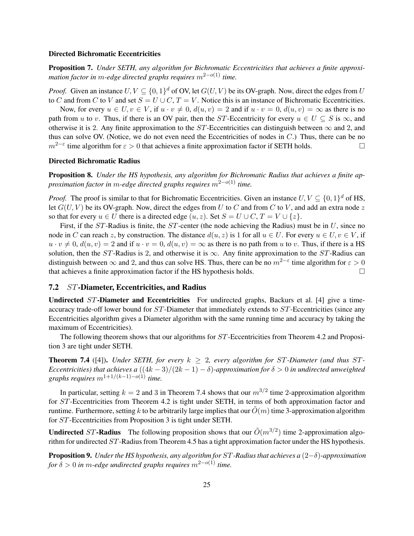# Directed Bichromatic Eccentricities

Proposition 7. *Under SETH, any algorithm for Bichromatic Eccentricities that achieves a finite approximation factor in* m*-edge directed graphs requires* m2−o(1) *time.*

*Proof.* Given an instance  $U, V \subseteq \{0, 1\}^d$  of OV, let  $G(U, V)$  be its OV-graph. Now, direct the edges from U to C and from C to V and set  $S = U \cup C$ ,  $T = V$ . Notice this is an instance of Bichromatic Eccentricities.

Now, for every  $u \in U$ ,  $v \in V$ , if  $u \cdot v \neq 0$ ,  $d(u, v) = 2$  and if  $u \cdot v = 0$ ,  $d(u, v) = \infty$  as there is no path from u to v. Thus, if there is an OV pair, then the ST-Eccentricity for every  $u \in U \subseteq S$  is  $\infty$ , and otherwise it is 2. Any finite approximation to the ST-Eccentricities can distinguish between  $\infty$  and 2, and thus can solve OV. (Notice, we do not even need the Eccentricities of nodes in C.) Thus, there can be no  $m^{2-\epsilon}$  time algorithm for  $\varepsilon > 0$  that achieves a finite approximation factor if SETH holds.

### Directed Bichromatic Radius

Proposition 8. *Under the HS hypothesis, any algorithm for Bichromatic Radius that achieves a finite approximation factor in* m*-edge directed graphs requires* m2−o(1) *time.*

*Proof.* The proof is similar to that for Bichromatic Eccentricities. Given an instance  $U, V \subseteq \{0, 1\}^d$  of HS, let  $G(U, V)$  be its OV-graph. Now, direct the edges from U to C and from C to V, and add an extra node z so that for every  $u \in U$  there is a directed edge  $(u, z)$ . Set  $S = U \cup C$ ,  $T = V \cup \{z\}$ .

First, if the  $ST$ -Radius is finite, the  $ST$ -center (the node achieving the Radius) must be in U, since no node in C can reach z, by construction. The distance  $d(u, z)$  is 1 for all  $u \in U$ . For every  $u \in U, v \in V$ , if  $u \cdot v \neq 0$ ,  $d(u, v) = 2$  and if  $u \cdot v = 0$ ,  $d(u, v) = \infty$  as there is no path from u to v. Thus, if there is a HS solution, then the ST-Radius is 2, and otherwise it is  $\infty$ . Any finite approximation to the ST-Radius can distinguish between  $\infty$  and 2, and thus can solve HS. Thus, there can be no  $m^{2-\epsilon}$  time algorithm for  $\varepsilon > 0$ that achieves a finite approximation factor if the HS hypothesis holds.  $\square$ 

### 7.2 ST-Diameter, Eccentricities, and Radius

Undirected ST-Diameter and Eccentricities For undirected graphs, Backurs et al. [4] give a timeaccuracy trade-off lower bound for ST-Diameter that immediately extends to ST-Eccentricities (since any Eccentricities algorithm gives a Diameter algorithm with the same running time and accuracy by taking the maximum of Eccentricities).

The following theorem shows that our algorithms for ST-Eccentricities from Theorem 4.2 and Proposition 3 are tight under SETH.

**Theorem 7.4** ([4]). *Under SETH, for every*  $k \geq 2$ , every algorithm for ST-Diameter (and thus ST-*Eccentricities) that achieves a*  $((4k-3)/(2k-1)-\delta)$ -approximation for  $\delta > 0$  in undirected unweighted *graphs requires*  $m^{1+1/(k-1)-o(1)}$  *time.* 

In particular, setting  $k = 2$  and 3 in Theorem 7.4 shows that our  $m^{3/2}$  time 2-approximation algorithm for ST-Eccentricities from Theorem 4.2 is tight under SETH, in terms of both approximation factor and runtime. Furthermore, setting k to be arbitrarily large implies that our  $O(m)$  time 3-approximation algorithm for ST-Eccentricities from Proposition 3 is tight under SETH.

**Undirected** ST-Radius The following proposition shows that our  $\tilde{O}(m^{3/2})$  time 2-approximation algorithm for undirected ST-Radius from Theorem 4.5 has a tight approximation factor under the HS hypothesis.

Proposition 9. *Under the HS hypothesis, any algorithm for* ST*-Radius that achieves a* (2−δ)*-approximation for*  $\delta > 0$  *in* m-edge undirected graphs requires  $m^{2-o(1)}$  time.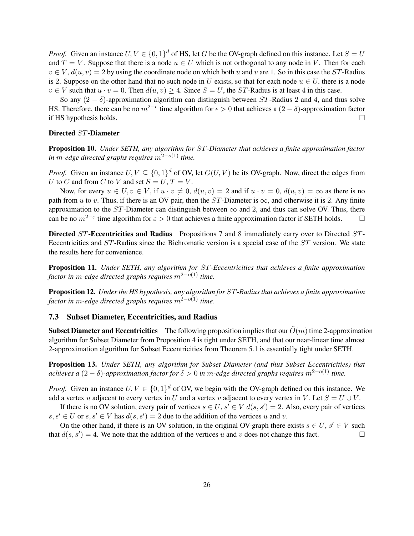*Proof.* Given an instance  $U, V \in \{0, 1\}^d$  of HS, let G be the OV-graph defined on this instance. Let  $S = U$ and  $T = V$ . Suppose that there is a node  $u \in U$  which is not orthogonal to any node in V. Then for each  $v \in V$ ,  $d(u, v) = 2$  by using the coordinate node on which both u and v are 1. So in this case the ST-Radius is 2. Suppose on the other hand that no such node in U exists, so that for each node  $u \in U$ , there is a node  $v \in V$  such that  $u \cdot v = 0$ . Then  $d(u, v) \ge 4$ . Since  $S = U$ , the ST-Radius is at least 4 in this case.

So any  $(2 - \delta)$ -approximation algorithm can distinguish between ST-Radius 2 and 4, and thus solve HS. Therefore, there can be no  $m^{2-\epsilon}$  time algorithm for  $\epsilon > 0$  that achieves a  $(2-\delta)$ -approximation factor if HS hypothesis holds.  $\square$ 

### Directed ST-Diameter

Proposition 10. *Under SETH, any algorithm for* ST*-Diameter that achieves a finite approximation factor in* m*-edge directed graphs requires* m2−o(1) *time.*

*Proof.* Given an instance  $U, V \subseteq \{0, 1\}^d$  of OV, let  $G(U, V)$  be its OV-graph. Now, direct the edges from U to C and from C to V and set  $S = U, T = V$ .

Now, for every  $u \in U$ ,  $v \in V$ , if  $u \cdot v \neq 0$ ,  $d(u, v) = 2$  and if  $u \cdot v = 0$ ,  $d(u, v) = \infty$  as there is no path from u to v. Thus, if there is an OV pair, then the  $ST$ -Diameter is  $\infty$ , and otherwise it is 2. Any finite approximation to the ST-Diameter can distinguish between  $\infty$  and 2, and thus can solve OV. Thus, there can be no  $m^{2-\epsilon}$  time algorithm for  $\epsilon > 0$  that achieves a finite approximation factor if SETH holds.  $\square$ 

Directed ST-Eccentricities and Radius Propositions 7 and 8 immediately carry over to Directed ST-Eccentricities and ST-Radius since the Bichromatic version is a special case of the ST version. We state the results here for convenience.

Proposition 11. *Under SETH, any algorithm for* ST*-Eccentricities that achieves a finite approximation factor in* m*-edge directed graphs requires* m2−o(1) *time.*

Proposition 12. *Under the HS hypothesis, any algorithm for* ST*-Radius that achieves a finite approximation factor in* m*-edge directed graphs requires* m2−o(1) *time.*

#### 7.3 Subset Diameter, Eccentricities, and Radius

**Subset Diameter and Eccentricities** The following proposition implies that our  $O(m)$  time 2-approximation algorithm for Subset Diameter from Proposition 4 is tight under SETH, and that our near-linear time almost 2-approximation algorithm for Subset Eccentricities from Theorem 5.1 is essentially tight under SETH.

Proposition 13. *Under SETH, any algorithm for Subset Diameter (and thus Subset Eccentricities) that achieves a*  $(2 - \delta)$ -approximation factor for  $\delta > 0$  in m-edge directed graphs requires  $m^{2-o(1)}$  time.

*Proof.* Given an instance  $U, V \in \{0, 1\}^d$  of OV, we begin with the OV-graph defined on this instance. We add a vertex u adjacent to every vertex in U and a vertex v adjacent to every vertex in V. Let  $S = U \cup V$ .

If there is no OV solution, every pair of vertices  $s \in U$ ,  $s' \in V$   $d(s, s') = 2$ . Also, every pair of vertices  $s, s' \in U$  or  $s, s' \in V$  has  $d(s, s') = 2$  due to the addition of the vertices u and v.

On the other hand, if there is an OV solution, in the original OV-graph there exists  $s \in U$ ,  $s' \in V$  such that  $d(s, s') = 4$ . We note that the addition of the vertices u and v does not change this fact.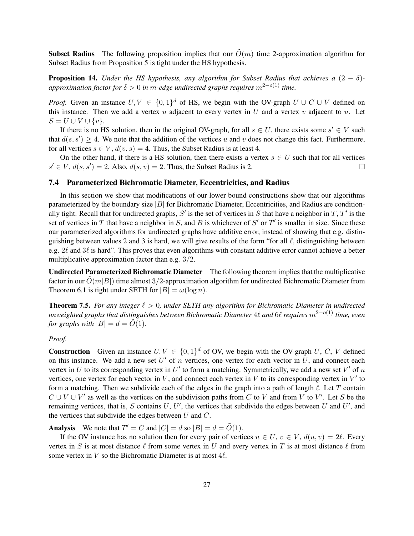**Subset Radius** The following proposition implies that our  $\tilde{O}(m)$  time 2-approximation algorithm for Subset Radius from Proposition 5 is tight under the HS hypothesis.

**Proposition 14.** *Under the HS hypothesis, any algorithm for Subset Radius that achieves a*  $(2 - \delta)$ *approximation factor for*  $\delta > 0$  *in m-edge undirected graphs requires*  $m^{2-o(1)}$  *time.* 

*Proof.* Given an instance  $U, V \in \{0, 1\}^d$  of HS, we begin with the OV-graph  $U \cup C \cup V$  defined on this instance. Then we add a vertex  $u$  adjacent to every vertex in  $U$  and a vertex  $v$  adjacent to  $u$ . Let  $S = U \cup V \cup \{v\}.$ 

If there is no HS solution, then in the original OV-graph, for all  $s \in U$ , there exists some  $s' \in V$  such that  $d(s, s') \geq 4$ . We note that the addition of the vertices u and v does not change this fact. Furthermore, for all vertices  $s \in V$ ,  $d(v, s) = 4$ . Thus, the Subset Radius is at least 4.

On the other hand, if there is a HS solution, then there exists a vertex  $s \in U$  such that for all vertices  $s' \in V$ ,  $d(s, s') = 2$ . Also,  $d(s, v) = 2$ . Thus, the Subset Radius is 2.

# 7.4 Parameterized Bichromatic Diameter, Eccentricities, and Radius

In this section we show that modifications of our lower bound constructions show that our algorithms parameterized by the boundary size  $|B|$  for Bichromatic Diameter, Eccentricities, and Radius are conditionally tight. Recall that for undirected graphs,  $S'$  is the set of vertices in S that have a neighbor in T,  $T'$  is the set of vertices in T that have a neighbor in S, and B is whichever of  $S'$  or  $T'$  is smaller in size. Since these our parameterized algorithms for undirected graphs have additive error, instead of showing that e.g. distinguishing between values 2 and 3 is hard, we will give results of the form "for all  $\ell$ , distinguishing between e.g.  $2\ell$  and  $3\ell$  is hard". This proves that even algorithms with constant additive error cannot achieve a better multiplicative approximation factor than e.g. 3/2.

Undirected Parameterized Bichromatic Diameter The following theorem implies that the multiplicative factor in our  $\tilde{O}(m|B|)$  time almost 3/2-approximation algorithm for undirected Bichromatic Diameter from Theorem 6.1 is tight under SETH for  $|B| = \omega(\log n)$ .

**Theorem 7.5.** For any integer  $\ell > 0$ , under SETH any algorithm for Bichromatic Diameter in undirected *unweighted graphs that distinguishes between Bichromatic Diameter* 4 $\ell$  *and* 6 $\ell$  *requires*  $m^{2-o(1)}$  *time, even for graphs with*  $|B| = d = \tilde{O}(1)$ *.* 

# *Proof.*

**Construction** Given an instance  $U, V \in \{0, 1\}^d$  of OV, we begin with the OV-graph U, C, V defined on this instance. We add a new set  $U'$  of n vertices, one vertex for each vector in  $U$ , and connect each vertex in U to its corresponding vertex in U' to form a matching. Symmetrically, we add a new set  $V'$  of  $n$ vertices, one vertex for each vector in  $V$ , and connect each vertex in  $V$  to its corresponding vertex in  $V'$  to form a matching. Then we subdivide each of the edges in the graph into a path of length  $\ell$ . Let T contain  $C \cup V \cup V'$  as well as the vertices on the subdivision paths from C to V and from V to V'. Let S be the remaining vertices, that is, S contains  $U, U'$ , the vertices that subdivide the edges between U and U', and the vertices that subdivide the edges between  $U$  and  $C$ .

**Analysis** We note that  $T' = C$  and  $|C| = d$  so  $|B| = d = \tilde{O}(1)$ .

If the OV instance has no solution then for every pair of vertices  $u \in U$ ,  $v \in V$ ,  $d(u, v) = 2\ell$ . Every vertex in S is at most distance  $\ell$  from some vertex in U and every vertex in T is at most distance  $\ell$  from some vertex in  $V$  so the Bichromatic Diameter is at most  $4\ell$ .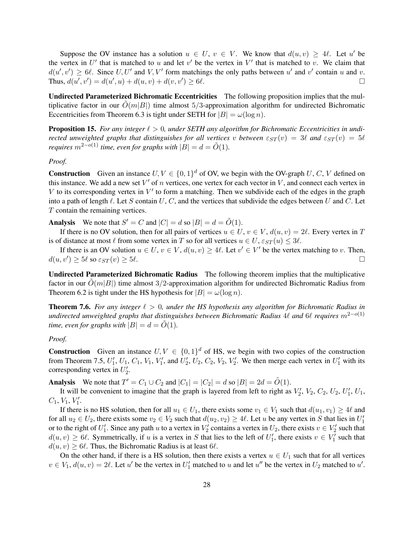Suppose the OV instance has a solution  $u \in U$ ,  $v \in V$ . We know that  $d(u, v) \ge 4\ell$ . Let u' be the vertex in  $U'$  that is matched to u and let  $v'$  be the vertex in  $V'$  that is matched to v. We claim that  $d(u', v') \ge 6\ell$ . Since  $U, U'$  and  $V, V'$  form matchings the only paths between u' and v' contain u and v. Thus,  $d(u', v') = d(u', u) + d(u, v) + d(v, v')$  $)\geq 6\ell.$ 

Undirected Parameterized Bichromatic Eccentricities The following proposition implies that the multiplicative factor in our  $\tilde{O}(m|B|)$  time almost 5/3-approximation algorithm for undirected Bichromatic Eccentricities from Theorem 6.3 is tight under SETH for  $|B| = \omega(\log n)$ .

**Proposition 15.** For any integer  $\ell > 0$ , under SETH any algorithm for Bichromatic Eccentricities in undi*rected unweighted graphs that distinguishes for all vertices v between*  $\varepsilon_{ST}(v) = 3\ell$  *and*  $\varepsilon_{ST}(v) = 5\ell$ *requires*  $m^{2-o(1)}$  *time, even for graphs with*  $|B| = d = \tilde{O}(1)$ *.* 

### *Proof.*

**Construction** Given an instance  $U, V \in \{0, 1\}^d$  of OV, we begin with the OV-graph U, C, V defined on this instance. We add a new set  $V'$  of n vertices, one vertex for each vector in  $V$ , and connect each vertex in V to its corresponding vertex in  $V'$  to form a matching. Then we subdivide each of the edges in the graph into a path of length  $\ell$ . Let S contain U, C, and the vertices that subdivide the edges between U and C. Let T contain the remaining vertices.

**Analysis** We note that  $S' = C$  and  $|C| = d$  so  $|B| = d = \tilde{O}(1)$ .

If there is no OV solution, then for all pairs of vertices  $u \in U$ ,  $v \in V$ ,  $d(u, v) = 2\ell$ . Every vertex in T is of distance at most  $\ell$  from some vertex in T so for all vertices  $u \in U$ ,  $\varepsilon_{ST}(u) \leq 3\ell$ .

If there is an OV solution  $u \in U$ ,  $v \in V$ ,  $d(u, v) \ge 4\ell$ . Let  $v' \in V'$  be the vertex matching to v. Then,  $d(u, v') \ge 5\ell$  so  $\varepsilon_{ST}(v) \ge 5\ell$ .

Undirected Parameterized Bichromatic Radius The following theorem implies that the multiplicative factor in our  $O(m|B|)$  time almost 3/2-approximation algorithm for undirected Bichromatic Radius from Theorem 6.2 is tight under the HS hypothesis for  $|B| = \omega(\log n)$ .

**Theorem 7.6.** For any integer  $\ell > 0$ , under the HS hypothesis any algorithm for Bichromatic Radius in *undirected unweighted graphs that distinguishes between Bichromatic Radius* 4 $\ell$  *and* 6 $\ell$  *requires*  $m^{2-o(1)}$ *time, even for graphs with*  $|B| = d = O(1)$ *.* 

# *Proof.*

**Construction** Given an instance  $U, V \in \{0, 1\}^d$  of HS, we begin with two copies of the construction from Theorem 7.5,  $U'_1$ ,  $U_1$ ,  $C_1$ ,  $V_1$ ,  $V'_1$ , and  $U'_2$ ,  $U_2$ ,  $C_2$ ,  $V_2$ ,  $V'_2$ . We then merge each vertex in  $U'_1$  with its corresponding vertex in  $U'_2$ .

Analysis We note that  $T' = C_1 \cup C_2$  and  $|C_1| = |C_2| = d$  so  $|B| = 2d = \tilde{O}(1)$ .

It will be convenient to imagine that the graph is layered from left to right as  $V'_2$ ,  $V_2$ ,  $C_2$ ,  $U_2$ ,  $U'_1$ ,  $U_1$ ,  $C_1, V_1, V'_1.$ 

If there is no HS solution, then for all  $u_1 \in U_1$ , there exists some  $v_1 \in V_1$  such that  $d(u_1, v_1) \ge 4\ell$  and for all  $u_2 \in U_2$ , there exists some  $v_2 \in V_2$  such that  $d(u_2, v_2) \ge 4\ell$ . Let u be any vertex in S that lies in  $U'_1$ or to the right of  $U'_1$ . Since any path u to a vertex in  $V'_2$  contains a vertex in  $U_2$ , there exists  $v \in V'_2$  such that  $d(u, v) \ge 6\ell$ . Symmetrically, if u is a vertex in S that lies to the left of  $U'_1$ , there exists  $v \in V'_1$  such that  $d(u, v) \ge 6\ell$ . Thus, the Bichromatic Radius is at least 6 $\ell$ .

On the other hand, if there is a HS solution, then there exists a vertex  $u \in U_1$  such that for all vertices  $v \in V_1$ ,  $d(u, v) = 2\ell$ . Let u' be the vertex in  $U'_1$  matched to u and let u'' be the vertex in  $U_2$  matched to u'.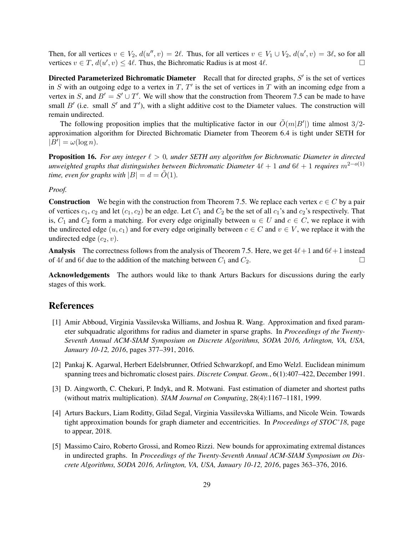Then, for all vertices  $v \in V_2$ ,  $d(u'', v) = 2\ell$ . Thus, for all vertices  $v \in V_1 \cup V_2$ ,  $d(u', v) = 3\ell$ , so for all vertices  $v \in T$ ,  $d(u', v) \leq 4\ell$ . Thus, the Bichromatic Radius is at most  $4\ell$ .

Directed Parameterized Bichromatic Diameter Recall that for directed graphs,  $S'$  is the set of vertices in S with an outgoing edge to a vertex in T,  $T'$  is the set of vertices in T with an incoming edge from a vertex in S, and  $B' = S' \cup T'$ . We will show that the construction from Theorem 7.5 can be made to have small  $B'$  (i.e. small  $S'$  and  $T'$ ), with a slight additive cost to the Diameter values. The construction will remain undirected.

The following proposition implies that the multiplicative factor in our  $\tilde{O}(m|B'|)$  time almost 3/2approximation algorithm for Directed Bichromatic Diameter from Theorem 6.4 is tight under SETH for  $|B'| = \omega(\log n).$ 

**Proposition 16.** For any integer  $\ell > 0$ , under SETH any algorithm for Bichromatic Diameter in directed *unweighted graphs that distinguishes between Bichromatic Diameter*  $4\ell + 1$  *and*  $6\ell + 1$  *requires*  $m^{2-o(1)}$ *time, even for graphs with*  $|B| = d = \tilde{O}(1)$ *.* 

# *Proof.*

**Construction** We begin with the construction from Theorem 7.5. We replace each vertex  $c \in C$  by a pair of vertices  $c_1$ ,  $c_2$  and let  $(c_1, c_2)$  be an edge. Let  $C_1$  and  $C_2$  be the set of all  $c_1$ 's and  $c_2$ 's respectively. That is,  $C_1$  and  $C_2$  form a matching. For every edge originally between  $u \in U$  and  $c \in C$ , we replace it with the undirected edge  $(u, c_1)$  and for every edge originally between  $c \in C$  and  $v \in V$ , we replace it with the undirected edge  $(c_2, v)$ .

**Analysis** The correctness follows from the analysis of Theorem 7.5. Here, we get  $4\ell+1$  and  $6\ell+1$  instead of 4 $\ell$  and 6 $\ell$  due to the addition of the matching between  $C_1$  and  $C_2$ .

Acknowledgements The authors would like to thank Arturs Backurs for discussions during the early stages of this work.

# References

- [1] Amir Abboud, Virginia Vassilevska Williams, and Joshua R. Wang. Approximation and fixed parameter subquadratic algorithms for radius and diameter in sparse graphs. In *Proceedings of the Twenty-Seventh Annual ACM-SIAM Symposium on Discrete Algorithms, SODA 2016, Arlington, VA, USA, January 10-12, 2016*, pages 377–391, 2016.
- [2] Pankaj K. Agarwal, Herbert Edelsbrunner, Otfried Schwarzkopf, and Emo Welzl. Euclidean minimum spanning trees and bichromatic closest pairs. *Discrete Comput. Geom.*, 6(1):407–422, December 1991.
- [3] D. Aingworth, C. Chekuri, P. Indyk, and R. Motwani. Fast estimation of diameter and shortest paths (without matrix multiplication). *SIAM Journal on Computing*, 28(4):1167–1181, 1999.
- [4] Arturs Backurs, Liam Roditty, Gilad Segal, Virginia Vassilevska Williams, and Nicole Wein. Towards tight approximation bounds for graph diameter and eccentricities. In *Proceedings of STOC'18*, page to appear, 2018.
- [5] Massimo Cairo, Roberto Grossi, and Romeo Rizzi. New bounds for approximating extremal distances in undirected graphs. In *Proceedings of the Twenty-Seventh Annual ACM-SIAM Symposium on Discrete Algorithms, SODA 2016, Arlington, VA, USA, January 10-12, 2016*, pages 363–376, 2016.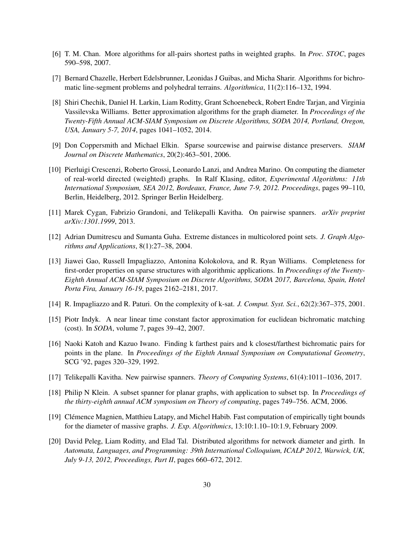- [6] T. M. Chan. More algorithms for all-pairs shortest paths in weighted graphs. In *Proc. STOC*, pages 590–598, 2007.
- [7] Bernard Chazelle, Herbert Edelsbrunner, Leonidas J Guibas, and Micha Sharir. Algorithms for bichromatic line-segment problems and polyhedral terrains. *Algorithmica*, 11(2):116–132, 1994.
- [8] Shiri Chechik, Daniel H. Larkin, Liam Roditty, Grant Schoenebeck, Robert Endre Tarjan, and Virginia Vassilevska Williams. Better approximation algorithms for the graph diameter. In *Proceedings of the Twenty-Fifth Annual ACM-SIAM Symposium on Discrete Algorithms, SODA 2014, Portland, Oregon, USA, January 5-7, 2014*, pages 1041–1052, 2014.
- [9] Don Coppersmith and Michael Elkin. Sparse sourcewise and pairwise distance preservers. *SIAM Journal on Discrete Mathematics*, 20(2):463–501, 2006.
- [10] Pierluigi Crescenzi, Roberto Grossi, Leonardo Lanzi, and Andrea Marino. On computing the diameter of real-world directed (weighted) graphs. In Ralf Klasing, editor, *Experimental Algorithms: 11th International Symposium, SEA 2012, Bordeaux, France, June 7-9, 2012. Proceedings*, pages 99–110, Berlin, Heidelberg, 2012. Springer Berlin Heidelberg.
- [11] Marek Cygan, Fabrizio Grandoni, and Telikepalli Kavitha. On pairwise spanners. *arXiv preprint arXiv:1301.1999*, 2013.
- [12] Adrian Dumitrescu and Sumanta Guha. Extreme distances in multicolored point sets. *J. Graph Algorithms and Applications*, 8(1):27–38, 2004.
- [13] Jiawei Gao, Russell Impagliazzo, Antonina Kolokolova, and R. Ryan Williams. Completeness for first-order properties on sparse structures with algorithmic applications. In *Proceedings of the Twenty-Eighth Annual ACM-SIAM Symposium on Discrete Algorithms, SODA 2017, Barcelona, Spain, Hotel Porta Fira, January 16-19*, pages 2162–2181, 2017.
- [14] R. Impagliazzo and R. Paturi. On the complexity of k-sat. *J. Comput. Syst. Sci.*, 62(2):367–375, 2001.
- [15] Piotr Indyk. A near linear time constant factor approximation for euclidean bichromatic matching (cost). In *SODA*, volume 7, pages 39–42, 2007.
- [16] Naoki Katoh and Kazuo Iwano. Finding k farthest pairs and k closest/farthest bichromatic pairs for points in the plane. In *Proceedings of the Eighth Annual Symposium on Computational Geometry*, SCG '92, pages 320–329, 1992.
- [17] Telikepalli Kavitha. New pairwise spanners. *Theory of Computing Systems*, 61(4):1011–1036, 2017.
- [18] Philip N Klein. A subset spanner for planar graphs, with application to subset tsp. In *Proceedings of the thirty-eighth annual ACM symposium on Theory of computing*, pages 749–756. ACM, 2006.
- [19] Clémence Magnien, Matthieu Latapy, and Michel Habib. Fast computation of empirically tight bounds for the diameter of massive graphs. *J. Exp. Algorithmics*, 13:10:1.10–10:1.9, February 2009.
- [20] David Peleg, Liam Roditty, and Elad Tal. Distributed algorithms for network diameter and girth. In *Automata, Languages, and Programming: 39th International Colloquium, ICALP 2012, Warwick, UK, July 9-13, 2012, Proceedings, Part II*, pages 660–672, 2012.